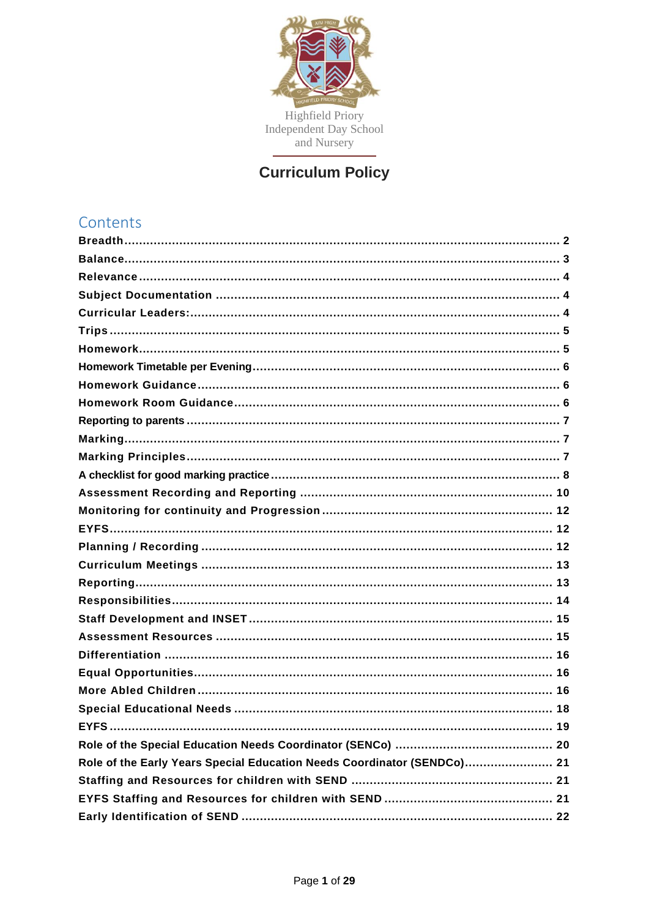

# **Curriculum Policy**

| Contents                                                                |
|-------------------------------------------------------------------------|
|                                                                         |
|                                                                         |
|                                                                         |
|                                                                         |
|                                                                         |
|                                                                         |
|                                                                         |
|                                                                         |
|                                                                         |
|                                                                         |
|                                                                         |
|                                                                         |
|                                                                         |
|                                                                         |
|                                                                         |
|                                                                         |
|                                                                         |
|                                                                         |
|                                                                         |
|                                                                         |
|                                                                         |
|                                                                         |
|                                                                         |
|                                                                         |
|                                                                         |
|                                                                         |
|                                                                         |
|                                                                         |
|                                                                         |
|                                                                         |
| Role of the Early Years Special Education Needs Coordinator (SENDCo) 21 |
|                                                                         |
|                                                                         |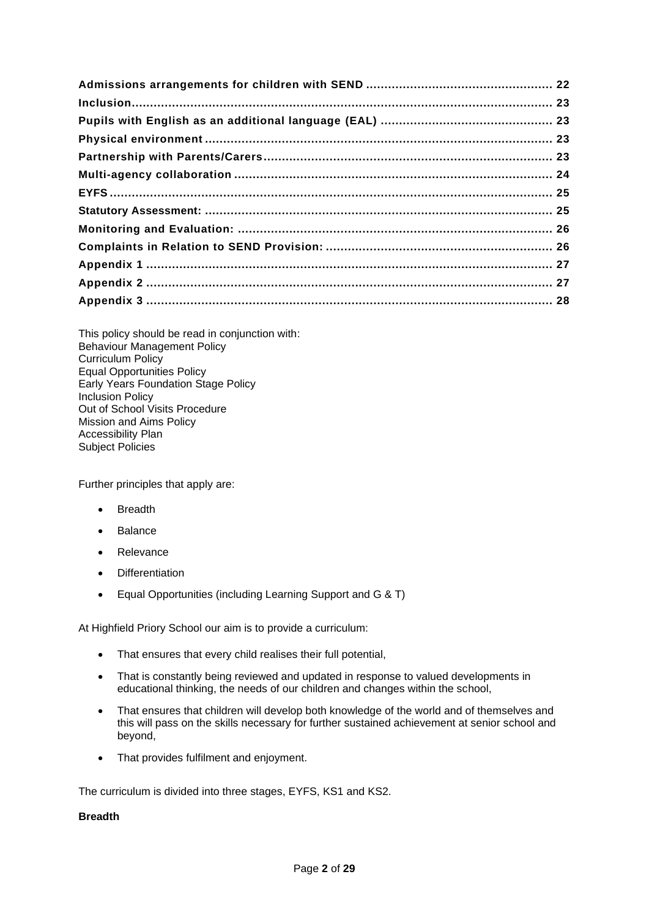This policy should be read in conjunction with: Behaviour Management Policy Curriculum Policy Equal Opportunities Policy Early Years Foundation Stage Policy Inclusion Policy Out of School Visits Procedure Mission and Aims Policy Accessibility Plan Subject Policies

Further principles that apply are:

- Breadth
- Balance
- Relevance
- Differentiation
- Equal Opportunities (including Learning Support and G & T)

At Highfield Priory School our aim is to provide a curriculum:

- That ensures that every child realises their full potential,
- That is constantly being reviewed and updated in response to valued developments in educational thinking, the needs of our children and changes within the school,
- That ensures that children will develop both knowledge of the world and of themselves and this will pass on the skills necessary for further sustained achievement at senior school and beyond,
- That provides fulfilment and enjoyment.

The curriculum is divided into three stages, EYFS, KS1 and KS2.

# <span id="page-1-0"></span>**Breadth**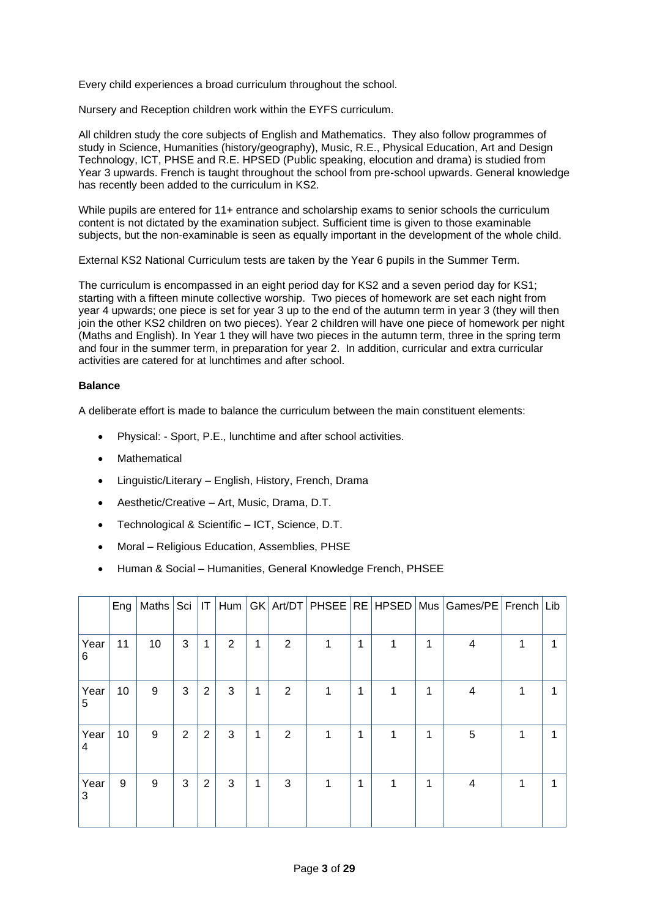Every child experiences a broad curriculum throughout the school.

Nursery and Reception children work within the EYFS curriculum.

All children study the core subjects of English and Mathematics. They also follow programmes of study in Science, Humanities (history/geography), Music, R.E., Physical Education, Art and Design Technology, ICT, PHSE and R.E. HPSED (Public speaking, elocution and drama) is studied from Year 3 upwards. French is taught throughout the school from pre-school upwards. General knowledge has recently been added to the curriculum in KS2.

While pupils are entered for 11+ entrance and scholarship exams to senior schools the curriculum content is not dictated by the examination subject. Sufficient time is given to those examinable subjects, but the non-examinable is seen as equally important in the development of the whole child.

External KS2 National Curriculum tests are taken by the Year 6 pupils in the Summer Term.

The curriculum is encompassed in an eight period day for KS2 and a seven period day for KS1; starting with a fifteen minute collective worship. Two pieces of homework are set each night from year 4 upwards; one piece is set for year 3 up to the end of the autumn term in year 3 (they will then join the other KS2 children on two pieces). Year 2 children will have one piece of homework per night (Maths and English). In Year 1 they will have two pieces in the autumn term, three in the spring term and four in the summer term, in preparation for year 2. In addition, curricular and extra curricular activities are catered for at lunchtimes and after school.

# <span id="page-2-0"></span>**Balance**

A deliberate effort is made to balance the curriculum between the main constituent elements:

- Physical: Sport, P.E., lunchtime and after school activities.
- **Mathematical**
- Linguistic/Literary English, History, French, Drama
- Aesthetic/Creative Art, Music, Drama, D.T.
- Technological & Scientific ICT, Science, D.T.
- Moral Religious Education, Assemblies, PHSE
- Human & Social Humanities, General Knowledge French, PHSEE

|           | Eng |    |                |   |   |   |   |   |   |   |   | Maths   Sci   IT   Hum   GK   Art/DT   PHSEE   RE   HPSED   Mus   Games/PE   French   Lib |   |   |
|-----------|-----|----|----------------|---|---|---|---|---|---|---|---|-------------------------------------------------------------------------------------------|---|---|
| Year<br>6 | 11  | 10 | 3              | 1 | 2 | 1 | 2 | 1 | 1 | 1 | 1 | 4                                                                                         |   | и |
| Year<br>5 | 10  | 9  | 3              | 2 | 3 | 1 | 2 | 1 | 1 | 1 | 1 | 4                                                                                         |   | 1 |
| Year<br>4 | 10  | 9  | $\overline{2}$ | 2 | 3 | 1 | 2 | 1 | 1 | 1 | 1 | 5                                                                                         |   | 1 |
| Year<br>3 | 9   | 9  | 3              | 2 | 3 | 1 | 3 | 1 | 1 | 1 | 1 | 4                                                                                         | 1 | 1 |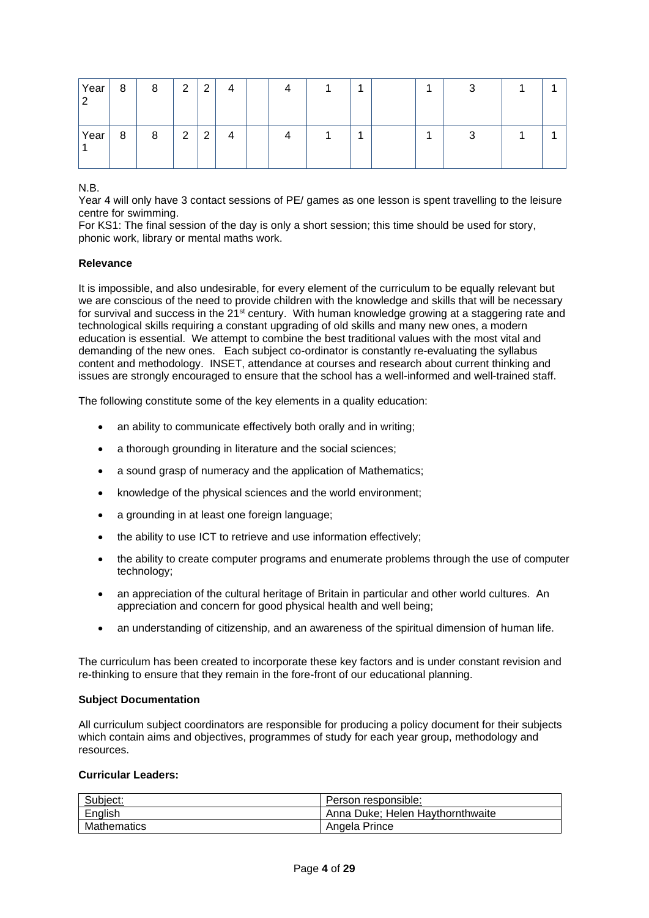| Year | 8 | 8 | $\overline{2}$ | 2             | 4 |  |  | - | ◠ |  |
|------|---|---|----------------|---------------|---|--|--|---|---|--|
| Year | 8 | 8 | $\overline{2}$ | っ<br><u>_</u> | 4 |  |  |   |   |  |

N.B.

Year 4 will only have 3 contact sessions of PE/ games as one lesson is spent travelling to the leisure centre for swimming.

For KS1: The final session of the day is only a short session; this time should be used for story, phonic work, library or mental maths work.

# <span id="page-3-0"></span>**Relevance**

It is impossible, and also undesirable, for every element of the curriculum to be equally relevant but we are conscious of the need to provide children with the knowledge and skills that will be necessary for survival and success in the 21<sup>st</sup> century. With human knowledge growing at a staggering rate and technological skills requiring a constant upgrading of old skills and many new ones, a modern education is essential. We attempt to combine the best traditional values with the most vital and demanding of the new ones. Each subject co-ordinator is constantly re-evaluating the syllabus content and methodology. INSET, attendance at courses and research about current thinking and issues are strongly encouraged to ensure that the school has a well-informed and well-trained staff.

The following constitute some of the key elements in a quality education:

- an ability to communicate effectively both orally and in writing;
- a thorough grounding in literature and the social sciences;
- a sound grasp of numeracy and the application of Mathematics;
- knowledge of the physical sciences and the world environment;
- a grounding in at least one foreign language;
- the ability to use ICT to retrieve and use information effectively;
- the ability to create computer programs and enumerate problems through the use of computer technology;
- an appreciation of the cultural heritage of Britain in particular and other world cultures. An appreciation and concern for good physical health and well being;
- an understanding of citizenship, and an awareness of the spiritual dimension of human life.

The curriculum has been created to incorporate these key factors and is under constant revision and re-thinking to ensure that they remain in the fore-front of our educational planning.

### <span id="page-3-1"></span>**Subject Documentation**

All curriculum subject coordinators are responsible for producing a policy document for their subjects which contain aims and objectives, programmes of study for each year group, methodology and resources.

# <span id="page-3-2"></span>**Curricular Leaders:**

| Subject:           | Person responsible:              |
|--------------------|----------------------------------|
| English            | Anna Duke: Helen Havthornthwaite |
| <b>Mathematics</b> | Angela Prince                    |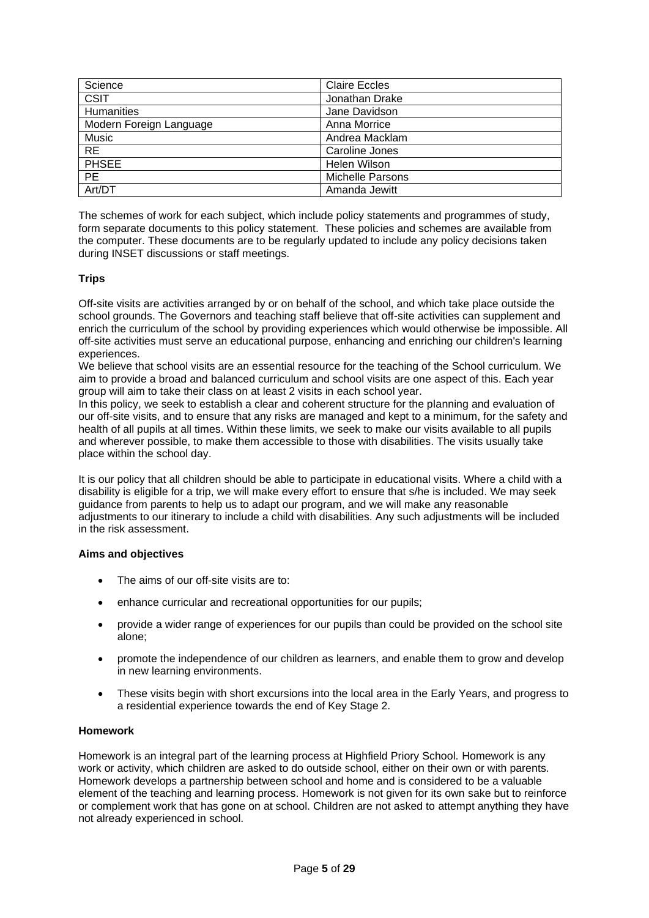| Science                 | <b>Claire Eccles</b>    |
|-------------------------|-------------------------|
| <b>CSIT</b>             | Jonathan Drake          |
| Humanities              | Jane Davidson           |
| Modern Foreign Language | Anna Morrice            |
| Music                   | Andrea Macklam          |
| <b>RE</b>               | Caroline Jones          |
| <b>PHSEE</b>            | Helen Wilson            |
| <b>PE</b>               | <b>Michelle Parsons</b> |
| Art/DT                  | Amanda Jewitt           |

The schemes of work for each subject, which include policy statements and programmes of study, form separate documents to this policy statement. These policies and schemes are available from the computer. These documents are to be regularly updated to include any policy decisions taken during INSET discussions or staff meetings.

# <span id="page-4-0"></span>**Trips**

Off-site visits are activities arranged by or on behalf of the school, and which take place outside the school grounds. The Governors and teaching staff believe that off-site activities can supplement and enrich the curriculum of the school by providing experiences which would otherwise be impossible. All off-site activities must serve an educational purpose, enhancing and enriching our children's learning experiences.

We believe that school visits are an essential resource for the teaching of the School curriculum. We aim to provide a broad and balanced curriculum and school visits are one aspect of this. Each year group will aim to take their class on at least 2 visits in each school year.

In this policy, we seek to establish a clear and coherent structure for the planning and evaluation of our off-site visits, and to ensure that any risks are managed and kept to a minimum, for the safety and health of all pupils at all times. Within these limits, we seek to make our visits available to all pupils and wherever possible, to make them accessible to those with disabilities. The visits usually take place within the school day.

It is our policy that all children should be able to participate in educational visits. Where a child with a disability is eligible for a trip, we will make every effort to ensure that s/he is included. We may seek guidance from parents to help us to adapt our program, and we will make any reasonable adjustments to our itinerary to include a child with disabilities. Any such adjustments will be included in the risk assessment.

# **Aims and objectives**

- The aims of our off-site visits are to:
- enhance curricular and recreational opportunities for our pupils;
- provide a wider range of experiences for our pupils than could be provided on the school site alone;
- promote the independence of our children as learners, and enable them to grow and develop in new learning environments.
- These visits begin with short excursions into the local area in the Early Years, and progress to a residential experience towards the end of Key Stage 2.

# <span id="page-4-1"></span>**Homework**

Homework is an integral part of the learning process at Highfield Priory School. Homework is any work or activity, which children are asked to do outside school, either on their own or with parents. Homework develops a partnership between school and home and is considered to be a valuable element of the teaching and learning process. Homework is not given for its own sake but to reinforce or complement work that has gone on at school. Children are not asked to attempt anything they have not already experienced in school.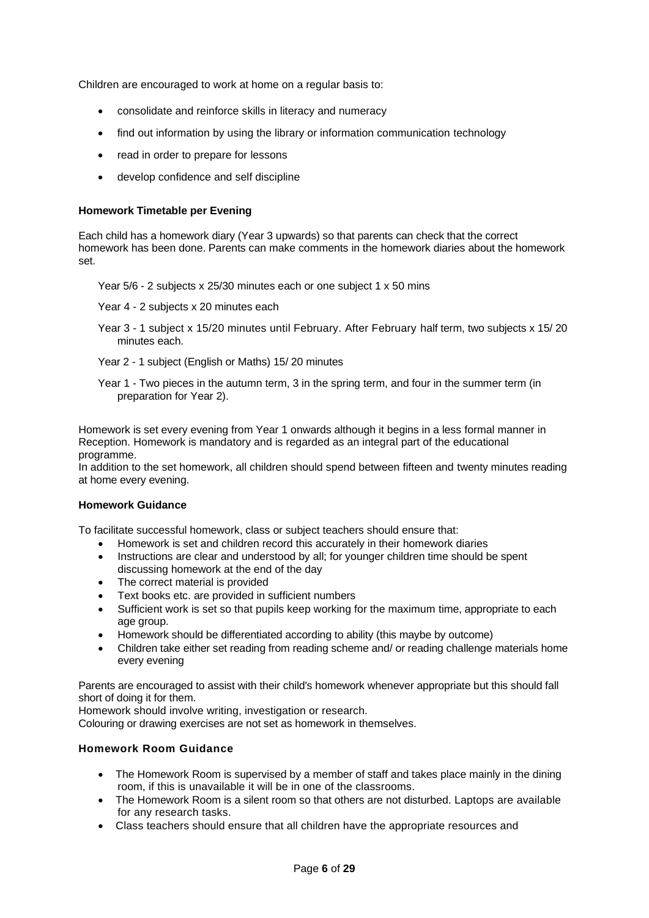Children are encouraged to work at home on a regular basis to:

- consolidate and reinforce skills in literacy and numeracy
- find out information by using the library or information communication technology
- read in order to prepare for lessons
- develop confidence and self discipline

# <span id="page-5-0"></span>**Homework Timetable per Evening**

Each child has a homework diary (Year 3 upwards) so that parents can check that the correct homework has been done. Parents can make comments in the homework diaries about the homework set.

Year 5/6 - 2 subjects x 25/30 minutes each or one subject 1 x 50 mins

- Year 4 2 subjects x 20 minutes each
- Year 3 1 subject x 15/20 minutes until February. After February half term, two subjects x 15/ 20 minutes each.
- Year 2 1 subject (English or Maths) 15/ 20 minutes
- Year 1 Two pieces in the autumn term, 3 in the spring term, and four in the summer term (in preparation for Year 2).

Homework is set every evening from Year 1 onwards although it begins in a less formal manner in Reception. Homework is mandatory and is regarded as an integral part of the educational programme.

In addition to the set homework, all children should spend between fifteen and twenty minutes reading at home every evening.

### <span id="page-5-1"></span>**Homework Guidance**

To facilitate successful homework, class or subject teachers should ensure that:

- Homework is set and children record this accurately in their homework diaries
- Instructions are clear and understood by all; for younger children time should be spent discussing homework at the end of the day
- The correct material is provided
- Text books etc. are provided in sufficient numbers
- Sufficient work is set so that pupils keep working for the maximum time, appropriate to each age group.
- Homework should be differentiated according to ability (this maybe by outcome)
- Children take either set reading from reading scheme and/ or reading challenge materials home every evening

Parents are encouraged to assist with their child's homework whenever appropriate but this should fall short of doing it for them.

Homework should involve writing, investigation or research.

Colouring or drawing exercises are not set as homework in themselves.

# <span id="page-5-2"></span>**Homework Room Guidance**

- The Homework Room is supervised by a member of staff and takes place mainly in the dining room, if this is unavailable it will be in one of the classrooms.
- The Homework Room is a silent room so that others are not disturbed. Laptops are available for any research tasks.
- Class teachers should ensure that all children have the appropriate resources and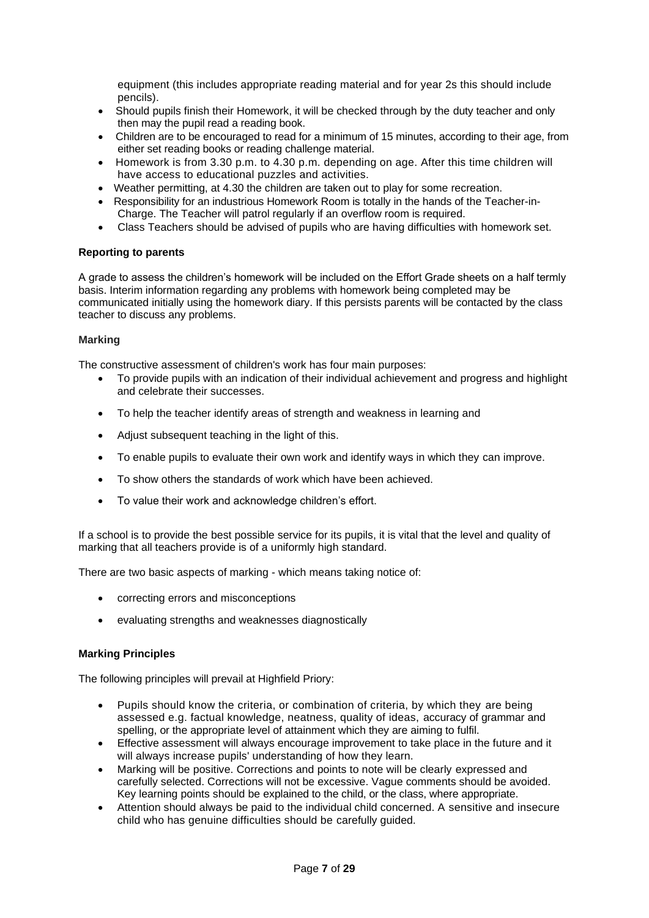equipment (this includes appropriate reading material and for year 2s this should include pencils).

- Should pupils finish their Homework, it will be checked through by the duty teacher and only then may the pupil read a reading book.
- Children are to be encouraged to read for a minimum of 15 minutes, according to their age, from either set reading books or reading challenge material.
- Homework is from 3.30 p.m. to 4.30 p.m. depending on age. After this time children will have access to educational puzzles and activities.
- Weather permitting, at 4.30 the children are taken out to play for some recreation.
- Responsibility for an industrious Homework Room is totally in the hands of the Teacher-in-Charge. The Teacher will patrol regularly if an overflow room is required.
- Class Teachers should be advised of pupils who are having difficulties with homework set.

# <span id="page-6-0"></span>**Reporting to parents**

A grade to assess the children's homework will be included on the Effort Grade sheets on a half termly basis. Interim information regarding any problems with homework being completed may be communicated initially using the homework diary. If this persists parents will be contacted by the class teacher to discuss any problems.

# <span id="page-6-1"></span>**Marking**

The constructive assessment of children's work has four main purposes:

- To provide pupils with an indication of their individual achievement and progress and highlight and celebrate their successes.
- To help the teacher identify areas of strength and weakness in learning and
- Adjust subsequent teaching in the light of this.
- To enable pupils to evaluate their own work and identify ways in which they can improve.
- To show others the standards of work which have been achieved.
- To value their work and acknowledge children's effort.

If a school is to provide the best possible service for its pupils, it is vital that the level and quality of marking that all teachers provide is of a uniformly high standard.

There are two basic aspects of marking - which means taking notice of:

- correcting errors and misconceptions
- evaluating strengths and weaknesses diagnostically

# <span id="page-6-2"></span>**Marking Principles**

The following principles will prevail at Highfield Priory:

- Pupils should know the criteria, or combination of criteria, by which they are being assessed e.g. factual knowledge, neatness, quality of ideas, accuracy of grammar and spelling, or the appropriate level of attainment which they are aiming to fulfil.
- Effective assessment will always encourage improvement to take place in the future and it will always increase pupils' understanding of how they learn.
- Marking will be positive. Corrections and points to note will be clearly expressed and carefully selected. Corrections will not be excessive. Vague comments should be avoided. Key learning points should be explained to the child, or the class, where appropriate.
- Attention should always be paid to the individual child concerned. A sensitive and insecure child who has genuine difficulties should be carefully guided.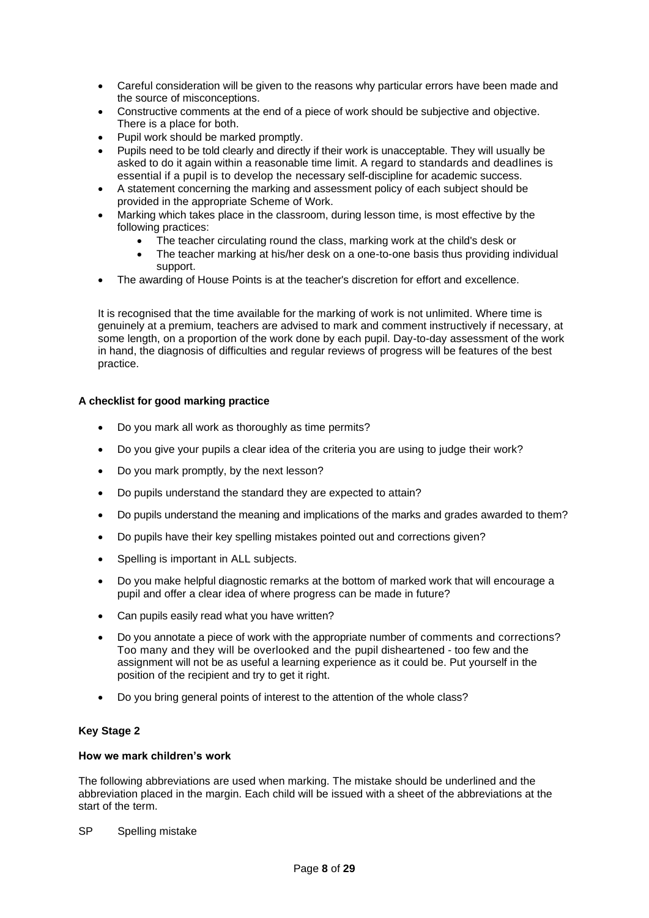- Careful consideration will be given to the reasons why particular errors have been made and the source of misconceptions.
- Constructive comments at the end of a piece of work should be subjective and objective. There is a place for both.
- Pupil work should be marked promptly.
- Pupils need to be told clearly and directly if their work is unacceptable. They will usually be asked to do it again within a reasonable time limit. A regard to standards and deadlines is essential if a pupil is to develop the necessary self-discipline for academic success.
- A statement concerning the marking and assessment policy of each subject should be provided in the appropriate Scheme of Work.
- Marking which takes place in the classroom, during lesson time, is most effective by the following practices:
	- The teacher circulating round the class, marking work at the child's desk or
	- The teacher marking at his/her desk on a one-to-one basis thus providing individual support.
- The awarding of House Points is at the teacher's discretion for effort and excellence.

It is recognised that the time available for the marking of work is not unlimited. Where time is genuinely at a premium, teachers are advised to mark and comment instructively if necessary, at some length, on a proportion of the work done by each pupil. Day-to-day assessment of the work in hand, the diagnosis of difficulties and regular reviews of progress will be features of the best practice.

# <span id="page-7-0"></span>**A checklist for good marking practice**

- Do you mark all work as thoroughly as time permits?
- Do you give your pupils a clear idea of the criteria you are using to judge their work?
- Do you mark promptly, by the next lesson?
- Do pupils understand the standard they are expected to attain?
- Do pupils understand the meaning and implications of the marks and grades awarded to them?
- Do pupils have their key spelling mistakes pointed out and corrections given?
- Spelling is important in ALL subjects.
- Do you make helpful diagnostic remarks at the bottom of marked work that will encourage a pupil and offer a clear idea of where progress can be made in future?
- Can pupils easily read what you have written?
- Do you annotate a piece of work with the appropriate number of comments and corrections? Too many and they will be overlooked and the pupil disheartened - too few and the assignment will not be as useful a learning experience as it could be. Put yourself in the position of the recipient and try to get it right.
- Do you bring general points of interest to the attention of the whole class?

# **Key Stage 2**

# **How we mark children's work**

The following abbreviations are used when marking. The mistake should be underlined and the abbreviation placed in the margin. Each child will be issued with a sheet of the abbreviations at the start of the term.

SP Spelling mistake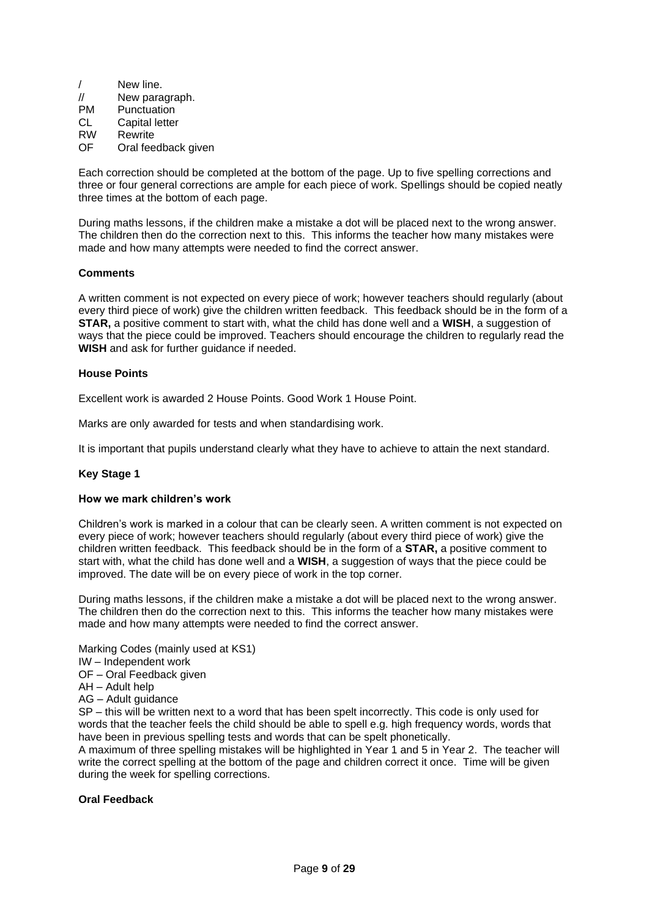|                   | New line.           |
|-------------------|---------------------|
| $^{\prime\prime}$ | New paragraph.      |
| PM                | Punctuation         |
| СL                | Capital letter      |
| <b>RW</b>         | Rewrite             |
| ΩF                | Oral feedback given |

Each correction should be completed at the bottom of the page. Up to five spelling corrections and three or four general corrections are ample for each piece of work. Spellings should be copied neatly three times at the bottom of each page.

During maths lessons, if the children make a mistake a dot will be placed next to the wrong answer. The children then do the correction next to this. This informs the teacher how many mistakes were made and how many attempts were needed to find the correct answer.

# **Comments**

A written comment is not expected on every piece of work; however teachers should regularly (about every third piece of work) give the children written feedback. This feedback should be in the form of a **STAR,** a positive comment to start with, what the child has done well and a **WISH**, a suggestion of ways that the piece could be improved. Teachers should encourage the children to regularly read the **WISH** and ask for further guidance if needed.

### **House Points**

Excellent work is awarded 2 House Points. Good Work 1 House Point.

Marks are only awarded for tests and when standardising work.

It is important that pupils understand clearly what they have to achieve to attain the next standard.

### **Key Stage 1**

### **How we mark children's work**

Children's work is marked in a colour that can be clearly seen. A written comment is not expected on every piece of work; however teachers should regularly (about every third piece of work) give the children written feedback. This feedback should be in the form of a **STAR,** a positive comment to start with, what the child has done well and a **WISH**, a suggestion of ways that the piece could be improved. The date will be on every piece of work in the top corner.

During maths lessons, if the children make a mistake a dot will be placed next to the wrong answer. The children then do the correction next to this. This informs the teacher how many mistakes were made and how many attempts were needed to find the correct answer.

Marking Codes (mainly used at KS1)

IW – Independent work

OF – Oral Feedback given

- AH Adult help
- AG Adult guidance

SP – this will be written next to a word that has been spelt incorrectly. This code is only used for words that the teacher feels the child should be able to spell e.g. high frequency words, words that have been in previous spelling tests and words that can be spelt phonetically.

A maximum of three spelling mistakes will be highlighted in Year 1 and 5 in Year 2. The teacher will write the correct spelling at the bottom of the page and children correct it once. Time will be given during the week for spelling corrections.

### **Oral Feedback**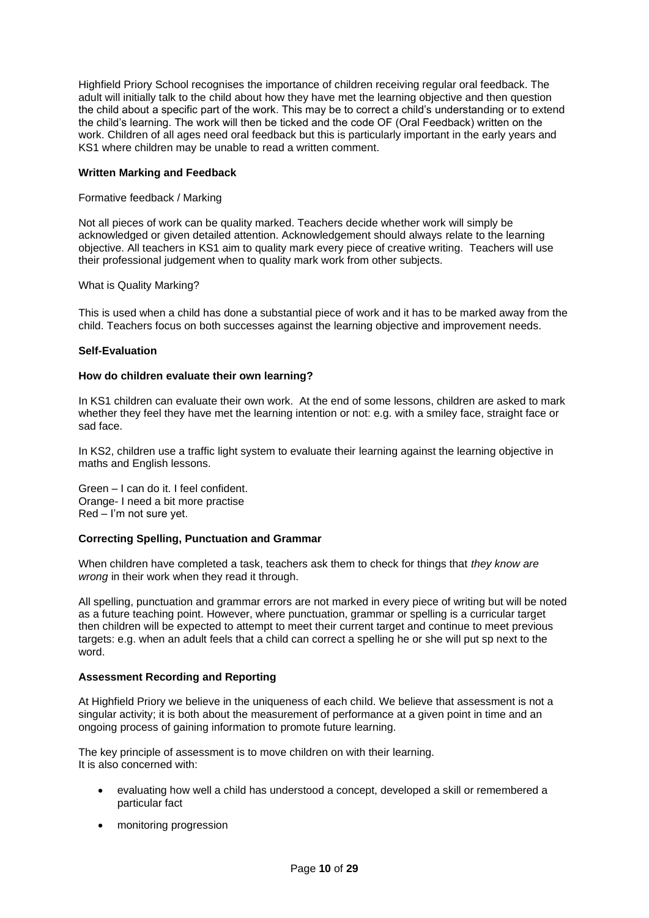Highfield Priory School recognises the importance of children receiving regular oral feedback. The adult will initially talk to the child about how they have met the learning objective and then question the child about a specific part of the work. This may be to correct a child's understanding or to extend the child's learning. The work will then be ticked and the code OF (Oral Feedback) written on the work. Children of all ages need oral feedback but this is particularly important in the early years and KS1 where children may be unable to read a written comment.

# **Written Marking and Feedback**

### Formative feedback / Marking

Not all pieces of work can be quality marked. Teachers decide whether work will simply be acknowledged or given detailed attention. Acknowledgement should always relate to the learning objective. All teachers in KS1 aim to quality mark every piece of creative writing. Teachers will use their professional judgement when to quality mark work from other subjects.

# What is Quality Marking?

This is used when a child has done a substantial piece of work and it has to be marked away from the child. Teachers focus on both successes against the learning objective and improvement needs.

# **Self-Evaluation**

### **How do children evaluate their own learning?**

In KS1 children can evaluate their own work. At the end of some lessons, children are asked to mark whether they feel they have met the learning intention or not: e.g. with a smiley face, straight face or sad face.

In KS2, children use a traffic light system to evaluate their learning against the learning objective in maths and English lessons.

Green – I can do it. I feel confident. Orange- I need a bit more practise Red – I'm not sure yet.

### **Correcting Spelling, Punctuation and Grammar**

When children have completed a task, teachers ask them to check for things that *they know are wrong* in their work when they read it through.

All spelling, punctuation and grammar errors are not marked in every piece of writing but will be noted as a future teaching point. However, where punctuation, grammar or spelling is a curricular target then children will be expected to attempt to meet their current target and continue to meet previous targets: e.g. when an adult feels that a child can correct a spelling he or she will put sp next to the word.

### <span id="page-9-0"></span>**Assessment Recording and Reporting**

At Highfield Priory we believe in the uniqueness of each child. We believe that assessment is not a singular activity; it is both about the measurement of performance at a given point in time and an ongoing process of gaining information to promote future learning.

The key principle of assessment is to move children on with their learning. It is also concerned with:

- evaluating how well a child has understood a concept, developed a skill or remembered a particular fact
- monitoring progression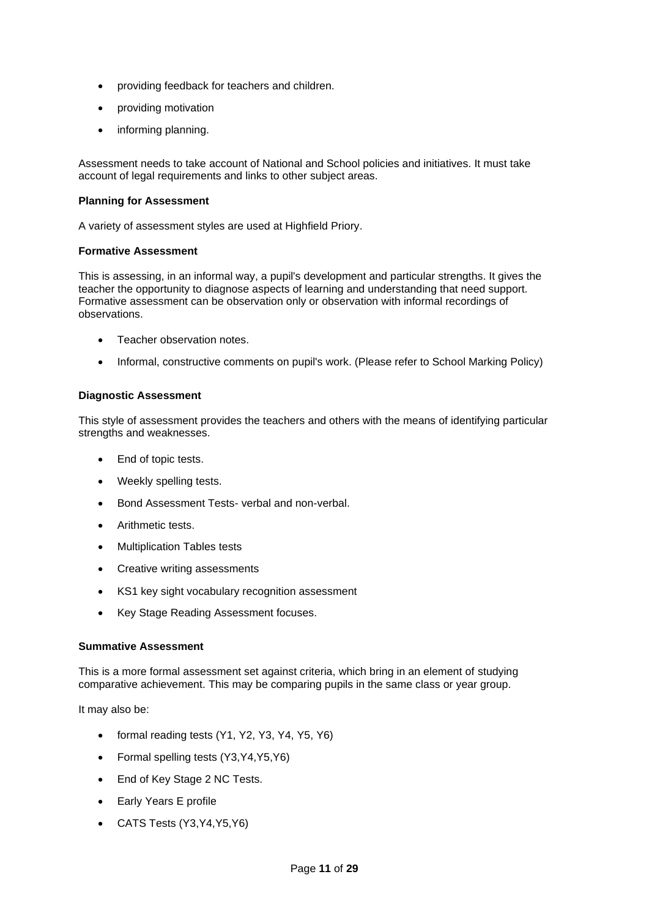- providing feedback for teachers and children.
- providing motivation
- informing planning.

Assessment needs to take account of National and School policies and initiatives. It must take account of legal requirements and links to other subject areas.

# **Planning for Assessment**

A variety of assessment styles are used at Highfield Priory.

# **Formative Assessment**

This is assessing, in an informal way, a pupil's development and particular strengths. It gives the teacher the opportunity to diagnose aspects of learning and understanding that need support. Formative assessment can be observation only or observation with informal recordings of observations.

- Teacher observation notes.
- Informal, constructive comments on pupil's work. (Please refer to School Marking Policy)

# **Diagnostic Assessment**

This style of assessment provides the teachers and others with the means of identifying particular strengths and weaknesses.

- End of topic tests.
- Weekly spelling tests.
- Bond Assessment Tests- verbal and non-verbal.
- Arithmetic tests.
- Multiplication Tables tests
- Creative writing assessments
- KS1 key sight vocabulary recognition assessment
- Key Stage Reading Assessment focuses.

# **Summative Assessment**

This is a more formal assessment set against criteria, which bring in an element of studying comparative achievement. This may be comparing pupils in the same class or year group.

It may also be:

- formal reading tests (Y1, Y2, Y3, Y4, Y5, Y6)
- Formal spelling tests (Y3, Y4, Y5, Y6)
- End of Key Stage 2 NC Tests.
- Early Years E profile
- CATS Tests (Y3,Y4,Y5,Y6)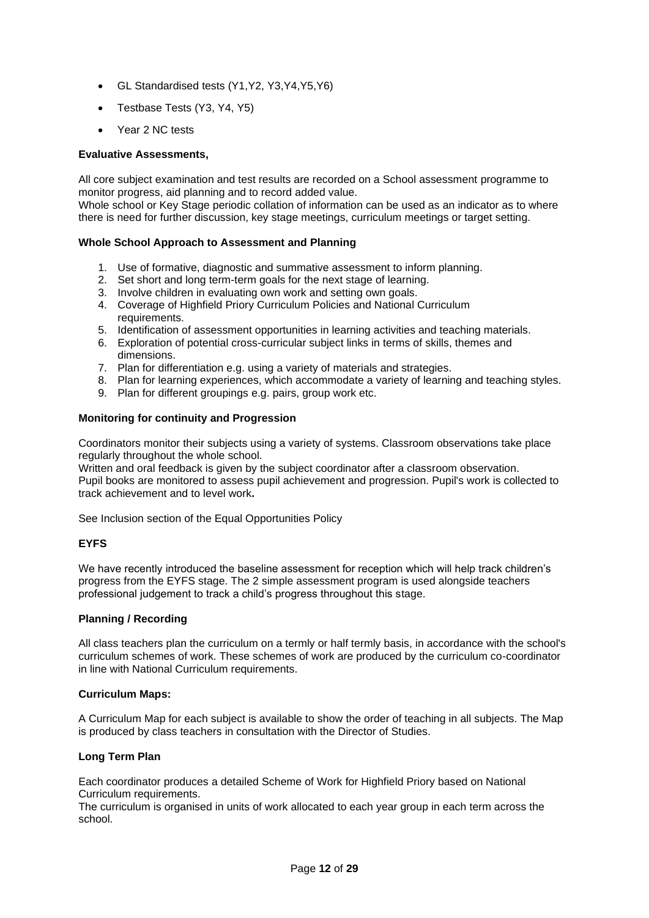- GL Standardised tests (Y1,Y2, Y3,Y4,Y5,Y6)
- Testbase Tests (Y3, Y4, Y5)
- Year 2 NC tests

# **Evaluative Assessments,**

All core subject examination and test results are recorded on a School assessment programme to monitor progress, aid planning and to record added value.

Whole school or Key Stage periodic collation of information can be used as an indicator as to where there is need for further discussion, key stage meetings, curriculum meetings or target setting.

# **Whole School Approach to Assessment and Planning**

- 1. Use of formative, diagnostic and summative assessment to inform planning.
- 2. Set short and long term-term goals for the next stage of learning.
- 3. Involve children in evaluating own work and setting own goals.
- 4. Coverage of Highfield Priory Curriculum Policies and National Curriculum requirements.
- 5. Identification of assessment opportunities in learning activities and teaching materials.
- 6. Exploration of potential cross-curricular subject links in terms of skills, themes and dimensions.
- 7. Plan for differentiation e.g. using a variety of materials and strategies.
- 8. Plan for learning experiences, which accommodate a variety of learning and teaching styles.
- 9. Plan for different groupings e.g. pairs, group work etc.

# <span id="page-11-0"></span>**Monitoring for continuity and Progression**

Coordinators monitor their subjects using a variety of systems. Classroom observations take place regularly throughout the whole school.

Written and oral feedback is given by the subject coordinator after a classroom observation. Pupil books are monitored to assess pupil achievement and progression. Pupil's work is collected to track achievement and to level work**.**

See Inclusion section of the Equal Opportunities Policy

# <span id="page-11-1"></span>**EYFS**

We have recently introduced the baseline assessment for reception which will help track children's progress from the EYFS stage. The 2 simple assessment program is used alongside teachers professional judgement to track a child's progress throughout this stage.

### <span id="page-11-2"></span>**Planning / Recording**

All class teachers plan the curriculum on a termly or half termly basis, in accordance with the school's curriculum schemes of work. These schemes of work are produced by the curriculum co-coordinator in line with National Curriculum requirements.

### **Curriculum Maps:**

A Curriculum Map for each subject is available to show the order of teaching in all subjects. The Map is produced by class teachers in consultation with the Director of Studies.

# **Long Term Plan**

Each coordinator produces a detailed Scheme of Work for Highfield Priory based on National Curriculum requirements.

The curriculum is organised in units of work allocated to each year group in each term across the school.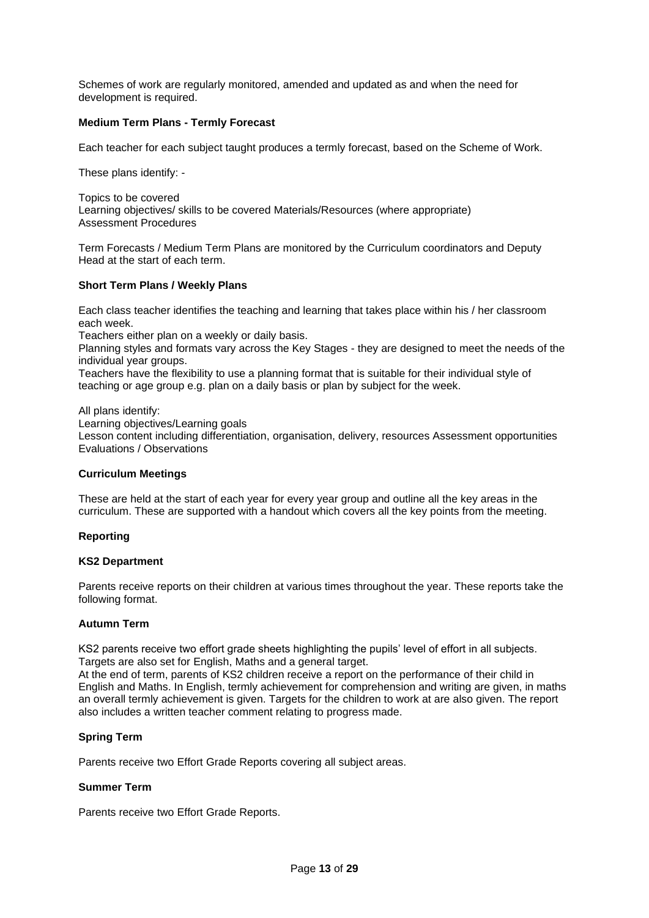Schemes of work are regularly monitored, amended and updated as and when the need for development is required.

### **Medium Term Plans - Termly Forecast**

Each teacher for each subject taught produces a termly forecast, based on the Scheme of Work.

These plans identify: -

Topics to be covered Learning objectives/ skills to be covered Materials/Resources (where appropriate) Assessment Procedures

Term Forecasts / Medium Term Plans are monitored by the Curriculum coordinators and Deputy Head at the start of each term.

# **Short Term Plans / Weekly Plans**

Each class teacher identifies the teaching and learning that takes place within his / her classroom each week.

Teachers either plan on a weekly or daily basis.

Planning styles and formats vary across the Key Stages - they are designed to meet the needs of the individual year groups.

Teachers have the flexibility to use a planning format that is suitable for their individual style of teaching or age group e.g. plan on a daily basis or plan by subject for the week.

All plans identify:

Learning objectives/Learning goals

Lesson content including differentiation, organisation, delivery, resources Assessment opportunities Evaluations / Observations

### <span id="page-12-0"></span>**Curriculum Meetings**

These are held at the start of each year for every year group and outline all the key areas in the curriculum. These are supported with a handout which covers all the key points from the meeting.

### <span id="page-12-1"></span>**Reporting**

### **KS2 Department**

Parents receive reports on their children at various times throughout the year. These reports take the following format.

### **Autumn Term**

KS2 parents receive two effort grade sheets highlighting the pupils' level of effort in all subjects. Targets are also set for English, Maths and a general target.

At the end of term, parents of KS2 children receive a report on the performance of their child in English and Maths. In English, termly achievement for comprehension and writing are given, in maths an overall termly achievement is given. Targets for the children to work at are also given. The report also includes a written teacher comment relating to progress made.

### **Spring Term**

Parents receive two Effort Grade Reports covering all subject areas.

### **Summer Term**

Parents receive two Effort Grade Reports.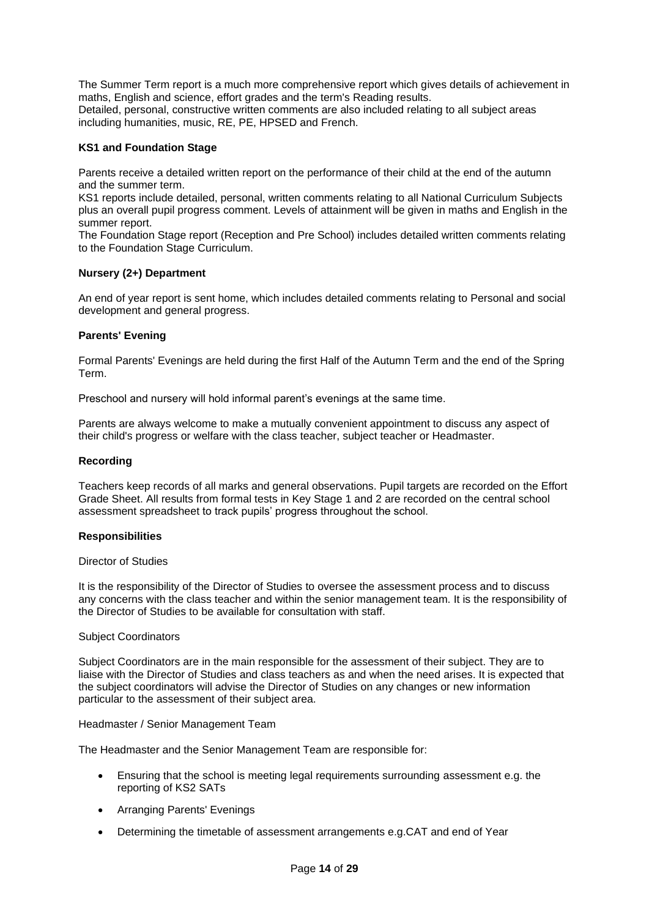The Summer Term report is a much more comprehensive report which gives details of achievement in maths, English and science, effort grades and the term's Reading results. Detailed, personal, constructive written comments are also included relating to all subject areas including humanities, music, RE, PE, HPSED and French.

# **KS1 and Foundation Stage**

Parents receive a detailed written report on the performance of their child at the end of the autumn and the summer term.

KS1 reports include detailed, personal, written comments relating to all National Curriculum Subjects plus an overall pupil progress comment. Levels of attainment will be given in maths and English in the summer report.

The Foundation Stage report (Reception and Pre School) includes detailed written comments relating to the Foundation Stage Curriculum.

### **Nursery (2+) Department**

An end of year report is sent home, which includes detailed comments relating to Personal and social development and general progress.

### **Parents' Evening**

Formal Parents' Evenings are held during the first Half of the Autumn Term and the end of the Spring Term.

Preschool and nursery will hold informal parent's evenings at the same time.

Parents are always welcome to make a mutually convenient appointment to discuss any aspect of their child's progress or welfare with the class teacher, subject teacher or Headmaster.

### **Recording**

Teachers keep records of all marks and general observations. Pupil targets are recorded on the Effort Grade Sheet. All results from formal tests in Key Stage 1 and 2 are recorded on the central school assessment spreadsheet to track pupils' progress throughout the school.

### <span id="page-13-0"></span>**Responsibilities**

#### Director of Studies

It is the responsibility of the Director of Studies to oversee the assessment process and to discuss any concerns with the class teacher and within the senior management team. It is the responsibility of the Director of Studies to be available for consultation with staff.

### Subject Coordinators

Subject Coordinators are in the main responsible for the assessment of their subject. They are to liaise with the Director of Studies and class teachers as and when the need arises. It is expected that the subject coordinators will advise the Director of Studies on any changes or new information particular to the assessment of their subject area.

#### Headmaster / Senior Management Team

The Headmaster and the Senior Management Team are responsible for:

- Ensuring that the school is meeting legal requirements surrounding assessment e.g. the reporting of KS2 SATs
- Arranging Parents' Evenings
- Determining the timetable of assessment arrangements e.g.CAT and end of Year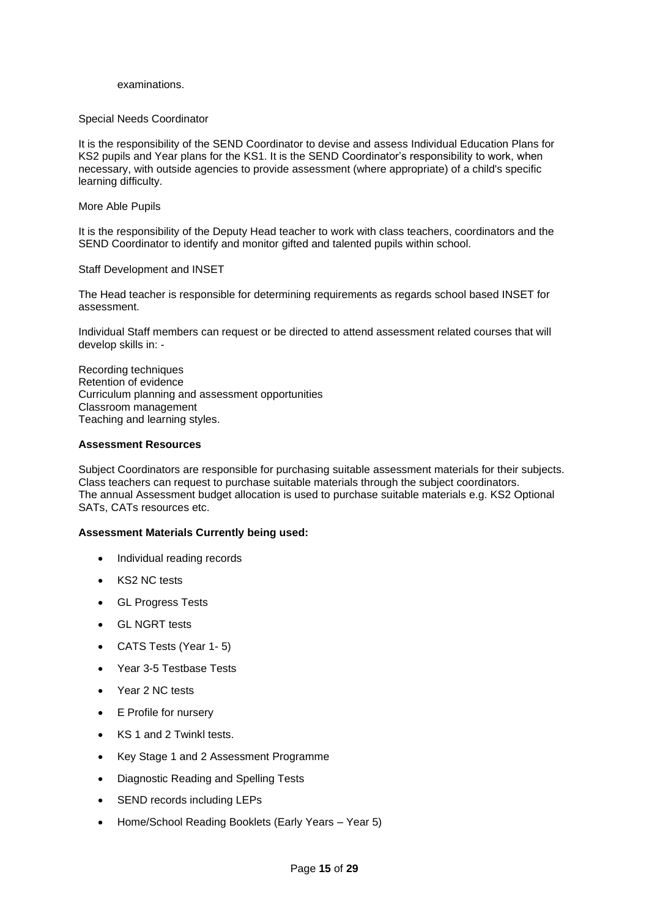#### examinations.

#### Special Needs Coordinator

It is the responsibility of the SEND Coordinator to devise and assess Individual Education Plans for KS2 pupils and Year plans for the KS1. It is the SEND Coordinator's responsibility to work, when necessary, with outside agencies to provide assessment (where appropriate) of a child's specific learning difficulty.

#### More Able Pupils

It is the responsibility of the Deputy Head teacher to work with class teachers, coordinators and the SEND Coordinator to identify and monitor gifted and talented pupils within school.

#### <span id="page-14-0"></span>Staff Development and INSET

The Head teacher is responsible for determining requirements as regards school based INSET for assessment.

Individual Staff members can request or be directed to attend assessment related courses that will develop skills in: -

Recording techniques Retention of evidence Curriculum planning and assessment opportunities Classroom management Teaching and learning styles.

#### <span id="page-14-1"></span>**Assessment Resources**

Subject Coordinators are responsible for purchasing suitable assessment materials for their subjects. Class teachers can request to purchase suitable materials through the subject coordinators. The annual Assessment budget allocation is used to purchase suitable materials e.g. KS2 Optional SATs, CATs resources etc.

### **Assessment Materials Currently being used:**

- Individual reading records
- KS2 NC tests
- GL Progress Tests
- GL NGRT tests
- CATS Tests (Year 1- 5)
- Year 3-5 Testbase Tests
- Year 2 NC tests
- **E** Profile for nursery
- KS 1 and 2 Twinkl tests.
- Key Stage 1 and 2 Assessment Programme
- Diagnostic Reading and Spelling Tests
- SEND records including LEPs
- Home/School Reading Booklets (Early Years Year 5)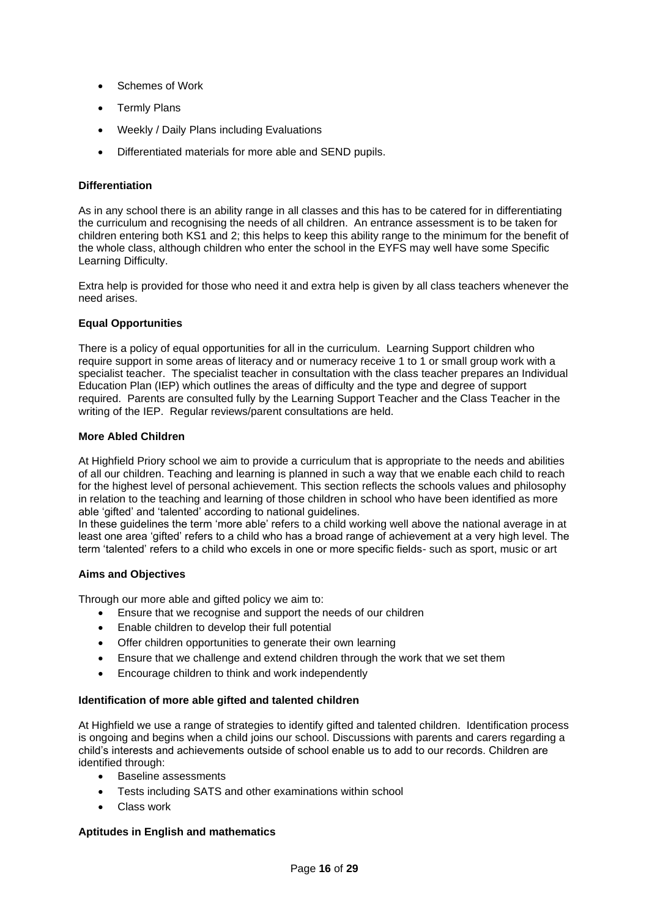- Schemes of Work
- **Termly Plans**
- Weekly / Daily Plans including Evaluations
- Differentiated materials for more able and SEND pupils.

# <span id="page-15-0"></span>**Differentiation**

As in any school there is an ability range in all classes and this has to be catered for in differentiating the curriculum and recognising the needs of all children. An entrance assessment is to be taken for children entering both KS1 and 2; this helps to keep this ability range to the minimum for the benefit of the whole class, although children who enter the school in the EYFS may well have some Specific Learning Difficulty.

Extra help is provided for those who need it and extra help is given by all class teachers whenever the need arises.

# <span id="page-15-1"></span>**Equal Opportunities**

There is a policy of equal opportunities for all in the curriculum. Learning Support children who require support in some areas of literacy and or numeracy receive 1 to 1 or small group work with a specialist teacher. The specialist teacher in consultation with the class teacher prepares an Individual Education Plan (IEP) which outlines the areas of difficulty and the type and degree of support required. Parents are consulted fully by the Learning Support Teacher and the Class Teacher in the writing of the IEP. Regular reviews/parent consultations are held.

# <span id="page-15-2"></span>**More Abled Children**

At Highfield Priory school we aim to provide a curriculum that is appropriate to the needs and abilities of all our children. Teaching and learning is planned in such a way that we enable each child to reach for the highest level of personal achievement. This section reflects the schools values and philosophy in relation to the teaching and learning of those children in school who have been identified as more able 'gifted' and 'talented' according to national guidelines.

In these guidelines the term 'more able' refers to a child working well above the national average in at least one area 'gifted' refers to a child who has a broad range of achievement at a very high level. The term 'talented' refers to a child who excels in one or more specific fields- such as sport, music or art

# **Aims and Objectives**

Through our more able and gifted policy we aim to:

- Ensure that we recognise and support the needs of our children
- Enable children to develop their full potential
- Offer children opportunities to generate their own learning
- Ensure that we challenge and extend children through the work that we set them
- Encourage children to think and work independently

# **Identification of more able gifted and talented children**

At Highfield we use a range of strategies to identify gifted and talented children. Identification process is ongoing and begins when a child joins our school. Discussions with parents and carers regarding a child's interests and achievements outside of school enable us to add to our records. Children are identified through:

- Baseline assessments
- Tests including SATS and other examinations within school
- Class work

# **Aptitudes in English and mathematics**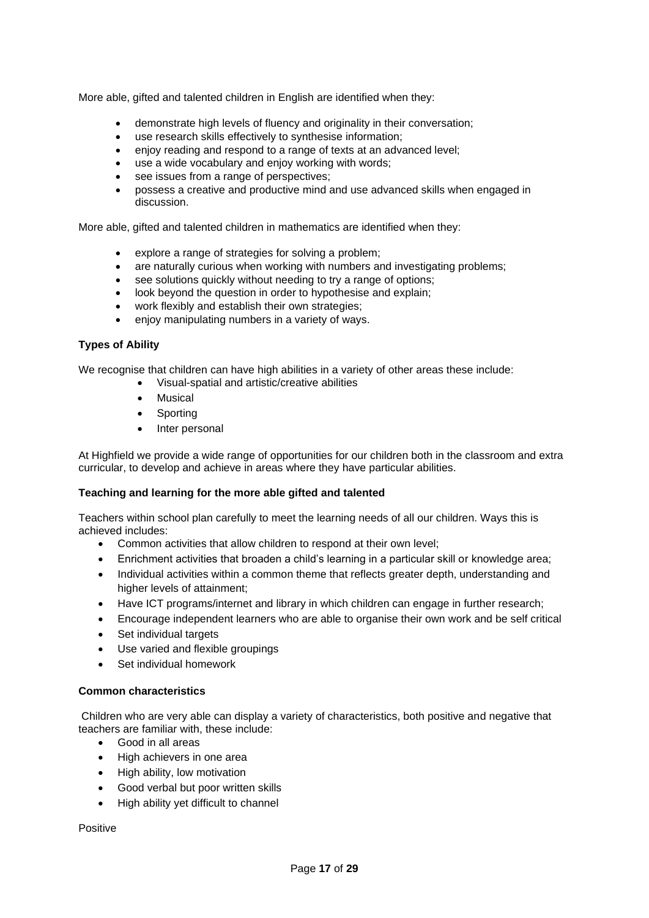More able, gifted and talented children in English are identified when they:

- demonstrate high levels of fluency and originality in their conversation;
- use research skills effectively to synthesise information;
- enjoy reading and respond to a range of texts at an advanced level;
- use a wide vocabulary and enjoy working with words:
- see issues from a range of perspectives;
- possess a creative and productive mind and use advanced skills when engaged in discussion.

More able, gifted and talented children in mathematics are identified when they:

- explore a range of strategies for solving a problem;
- are naturally curious when working with numbers and investigating problems;
- see solutions quickly without needing to try a range of options;
- look beyond the question in order to hypothesise and explain;
- work flexibly and establish their own strategies:
- enjoy manipulating numbers in a variety of ways.

# **Types of Ability**

We recognise that children can have high abilities in a variety of other areas these include:

- Visual-spatial and artistic/creative abilities
- **Musical**
- **Sporting**
- Inter personal

At Highfield we provide a wide range of opportunities for our children both in the classroom and extra curricular, to develop and achieve in areas where they have particular abilities.

# **Teaching and learning for the more able gifted and talented**

Teachers within school plan carefully to meet the learning needs of all our children. Ways this is achieved includes:

- Common activities that allow children to respond at their own level;
- Enrichment activities that broaden a child's learning in a particular skill or knowledge area;
- Individual activities within a common theme that reflects greater depth, understanding and higher levels of attainment;
- Have ICT programs/internet and library in which children can engage in further research:
- Encourage independent learners who are able to organise their own work and be self critical
- Set individual targets
- Use varied and flexible groupings
- Set individual homework

### **Common characteristics**

Children who are very able can display a variety of characteristics, both positive and negative that teachers are familiar with, these include:

- Good in all areas
- High achievers in one area
- High ability, low motivation
- Good verbal but poor written skills
- High ability yet difficult to channel

Positive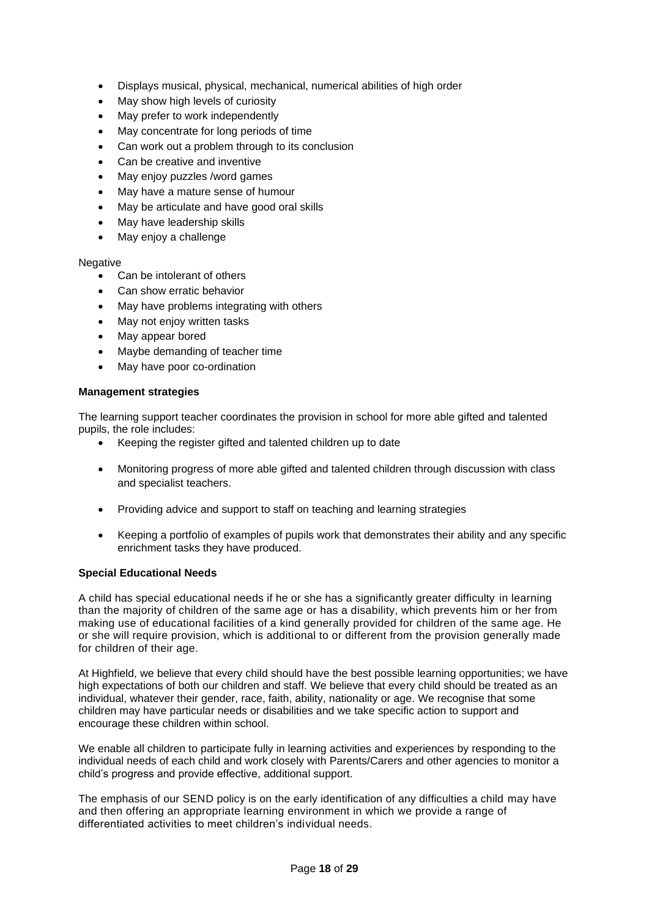- Displays musical, physical, mechanical, numerical abilities of high order
- May show high levels of curiosity
- May prefer to work independently
- May concentrate for long periods of time
- Can work out a problem through to its conclusion
- Can be creative and inventive
- May enjoy puzzles /word games
- May have a mature sense of humour
- May be articulate and have good oral skills
- May have leadership skills
- May enjoy a challenge

# **Negative**

- Can be intolerant of others
- Can show erratic behavior
- May have problems integrating with others
- May not enjoy written tasks
- May appear bored
- Maybe demanding of teacher time
- May have poor co-ordination

# **Management strategies**

The learning support teacher coordinates the provision in school for more able gifted and talented pupils, the role includes:

- Keeping the register gifted and talented children up to date
- Monitoring progress of more able gifted and talented children through discussion with class and specialist teachers.
- Providing advice and support to staff on teaching and learning strategies
- Keeping a portfolio of examples of pupils work that demonstrates their ability and any specific enrichment tasks they have produced.

# <span id="page-17-0"></span>**Special Educational Needs**

A child has special educational needs if he or she has a significantly greater difficulty in learning than the majority of children of the same age or has a disability, which prevents him or her from making use of educational facilities of a kind generally provided for children of the same age. He or she will require provision, which is additional to or different from the provision generally made for children of their age.

At Highfield, we believe that every child should have the best possible learning opportunities; we have high expectations of both our children and staff. We believe that every child should be treated as an individual, whatever their gender, race, faith, ability, nationality or age. We recognise that some children may have particular needs or disabilities and we take specific action to support and encourage these children within school.

We enable all children to participate fully in learning activities and experiences by responding to the individual needs of each child and work closely with Parents/Carers and other agencies to monitor a child's progress and provide effective, additional support.

The emphasis of our SEND policy is on the early identification of any difficulties a child may have and then offering an appropriate learning environment in which we provide a range of differentiated activities to meet children's individual needs.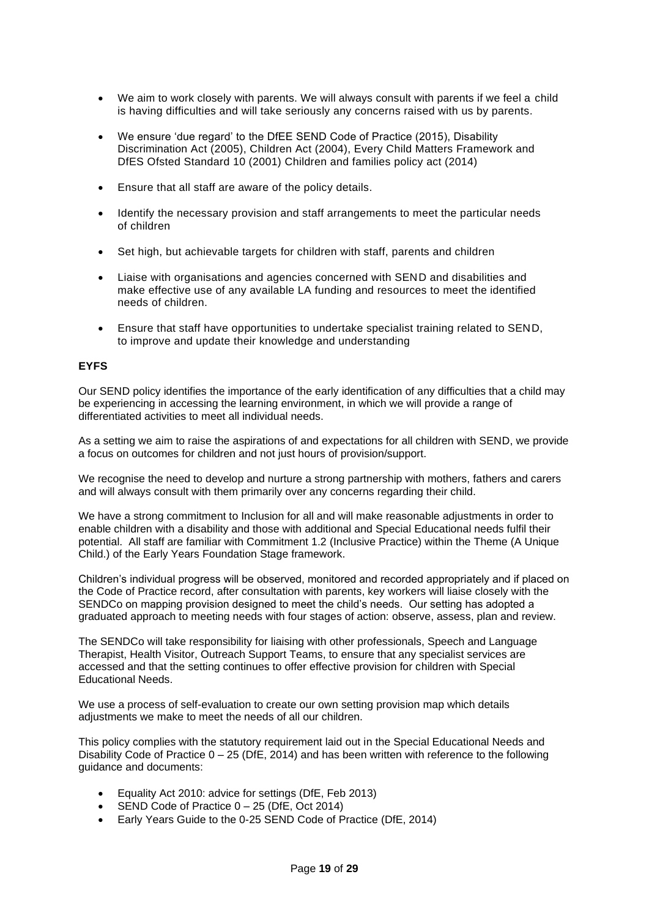- We aim to work closely with parents. We will always consult with parents if we feel a child is having difficulties and will take seriously any concerns raised with us by parents.
- We ensure 'due regard' to the DfEE SEND Code of Practice (2015), Disability Discrimination Act (2005), Children Act (2004), Every Child Matters Framework and DfES Ofsted Standard 10 (2001) Children and families policy act (2014)
- Ensure that all staff are aware of the policy details.
- Identify the necessary provision and staff arrangements to meet the particular needs of children
- Set high, but achievable targets for children with staff, parents and children
- Liaise with organisations and agencies concerned with SEND and disabilities and make effective use of any available LA funding and resources to meet the identified needs of children.
- Ensure that staff have opportunities to undertake specialist training related to SEND, to improve and update their knowledge and understanding

# <span id="page-18-0"></span>**EYFS**

Our SEND policy identifies the importance of the early identification of any difficulties that a child may be experiencing in accessing the learning environment, in which we will provide a range of differentiated activities to meet all individual needs.

As a setting we aim to raise the aspirations of and expectations for all children with SEND, we provide a focus on outcomes for children and not just hours of provision/support.

We recognise the need to develop and nurture a strong partnership with mothers, fathers and carers and will always consult with them primarily over any concerns regarding their child.

We have a strong commitment to Inclusion for all and will make reasonable adjustments in order to enable children with a disability and those with additional and Special Educational needs fulfil their potential. All staff are familiar with Commitment 1.2 (Inclusive Practice) within the Theme (A Unique Child.) of the Early Years Foundation Stage framework.

Children's individual progress will be observed, monitored and recorded appropriately and if placed on the Code of Practice record, after consultation with parents, key workers will liaise closely with the SENDCo on mapping provision designed to meet the child's needs. Our setting has adopted a graduated approach to meeting needs with four stages of action: observe, assess, plan and review.

The SENDCo will take responsibility for liaising with other professionals, Speech and Language Therapist, Health Visitor, Outreach Support Teams, to ensure that any specialist services are accessed and that the setting continues to offer effective provision for children with Special Educational Needs.

We use a process of self-evaluation to create our own setting provision map which details adjustments we make to meet the needs of all our children.

This policy complies with the statutory requirement laid out in the Special Educational Needs and Disability Code of Practice 0 – 25 (DfE, 2014) and has been written with reference to the following guidance and documents:

- Equality Act 2010: advice for settings (DfE, Feb 2013)
- SEND Code of Practice 0 25 (DfE, Oct 2014)
- Early Years Guide to the 0-25 SEND Code of Practice (DfE, 2014)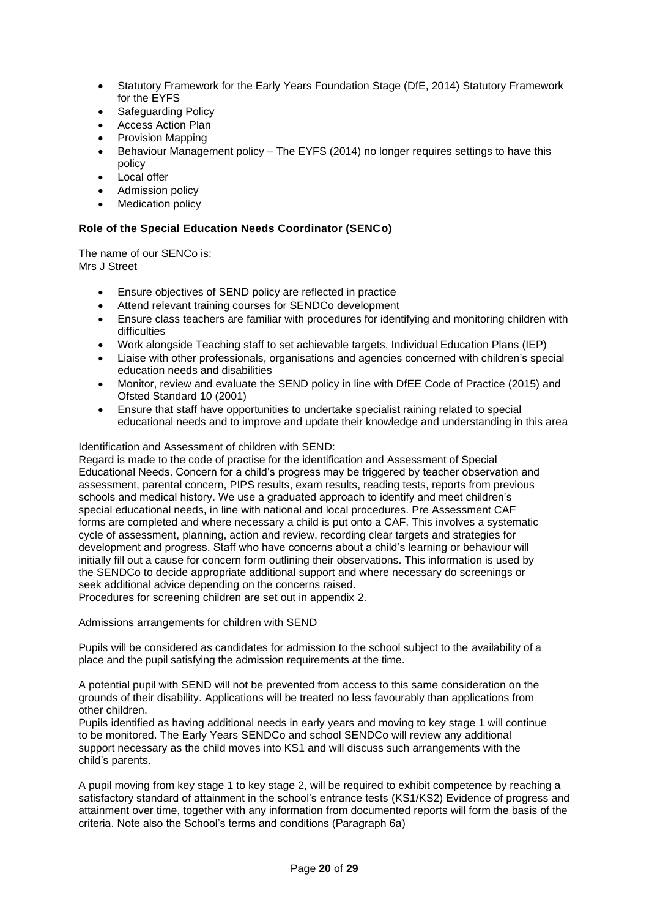- Statutory Framework for the Early Years Foundation Stage (DfE, 2014) Statutory Framework for the EYFS
- Safeguarding Policy
- Access Action Plan
- Provision Mapping
- Behaviour Management policy The EYFS (2014) no longer requires settings to have this policy
- Local offer
- Admission policy
- **Medication policy**

# <span id="page-19-0"></span>**Role of the Special Education Needs Coordinator (SENCo)**

The name of our SENCo is: Mrs J Street

- Ensure objectives of SEND policy are reflected in practice
- Attend relevant training courses for SENDCo development
- Ensure class teachers are familiar with procedures for identifying and monitoring children with difficulties
- Work alongside Teaching staff to set achievable targets, Individual Education Plans (IEP)
- Liaise with other professionals, organisations and agencies concerned with children's special education needs and disabilities
- Monitor, review and evaluate the SEND policy in line with DfEE Code of Practice (2015) and Ofsted Standard 10 (2001)
- Ensure that staff have opportunities to undertake specialist raining related to special educational needs and to improve and update their knowledge and understanding in this area

# Identification and Assessment of children with SEND:

Regard is made to the code of practise for the identification and Assessment of Special Educational Needs. Concern for a child's progress may be triggered by teacher observation and assessment, parental concern, PIPS results, exam results, reading tests, reports from previous schools and medical history. We use a graduated approach to identify and meet children's special educational needs, in line with national and local procedures. Pre Assessment CAF forms are completed and where necessary a child is put onto a CAF. This involves a systematic cycle of assessment, planning, action and review, recording clear targets and strategies for development and progress. Staff who have concerns about a child's learning or behaviour will initially fill out a cause for concern form outlining their observations. This information is used by the SENDCo to decide appropriate additional support and where necessary do screenings or seek additional advice depending on the concerns raised.

Procedures for screening children are set out in appendix 2.

Admissions arrangements for children with SEND

Pupils will be considered as candidates for admission to the school subject to the availability of a place and the pupil satisfying the admission requirements at the time.

A potential pupil with SEND will not be prevented from access to this same consideration on the grounds of their disability. Applications will be treated no less favourably than applications from other children.

Pupils identified as having additional needs in early years and moving to key stage 1 will continue to be monitored. The Early Years SENDCo and school SENDCo will review any additional support necessary as the child moves into KS1 and will discuss such arrangements with the child's parents.

A pupil moving from key stage 1 to key stage 2, will be required to exhibit competence by reaching a satisfactory standard of attainment in the school's entrance tests (KS1/KS2) Evidence of progress and attainment over time, together with any information from documented reports will form the basis of the criteria. Note also the School's terms and conditions (Paragraph 6a)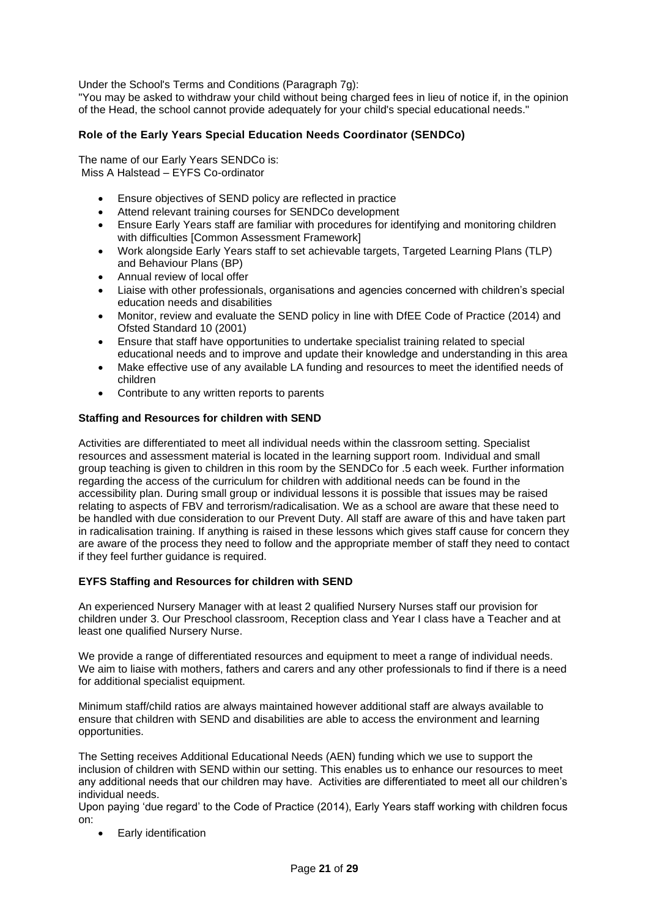Under the School's Terms and Conditions (Paragraph 7g):

"You may be asked to withdraw your child without being charged fees in lieu of notice if, in the opinion of the Head, the school cannot provide adequately for your child's special educational needs."

# <span id="page-20-0"></span>**Role of the Early Years Special Education Needs Coordinator (SENDCo)**

The name of our Early Years SENDCo is: Miss A Halstead – EYFS Co-ordinator

- Ensure objectives of SEND policy are reflected in practice
- Attend relevant training courses for SENDCo development
- Ensure Early Years staff are familiar with procedures for identifying and monitoring children with difficulties [Common Assessment Framework]
- Work alongside Early Years staff to set achievable targets, Targeted Learning Plans (TLP) and Behaviour Plans (BP)
- Annual review of local offer
- Liaise with other professionals, organisations and agencies concerned with children's special education needs and disabilities
- Monitor, review and evaluate the SEND policy in line with DfEE Code of Practice (2014) and Ofsted Standard 10 (2001)
- Ensure that staff have opportunities to undertake specialist training related to special educational needs and to improve and update their knowledge and understanding in this area
- Make effective use of any available LA funding and resources to meet the identified needs of children
- Contribute to any written reports to parents

# <span id="page-20-1"></span>**Staffing and Resources for children with SEND**

Activities are differentiated to meet all individual needs within the classroom setting. Specialist resources and assessment material is located in the learning support room. Individual and small group teaching is given to children in this room by the SENDCo for .5 each week. Further information regarding the access of the curriculum for children with additional needs can be found in the accessibility plan. During small group or individual lessons it is possible that issues may be raised relating to aspects of FBV and terrorism/radicalisation. We as a school are aware that these need to be handled with due consideration to our Prevent Duty. All staff are aware of this and have taken part in radicalisation training. If anything is raised in these lessons which gives staff cause for concern they are aware of the process they need to follow and the appropriate member of staff they need to contact if they feel further guidance is required.

### <span id="page-20-2"></span>**EYFS Staffing and Resources for children with SEND**

An experienced Nursery Manager with at least 2 qualified Nursery Nurses staff our provision for children under 3. Our Preschool classroom, Reception class and Year I class have a Teacher and at least one qualified Nursery Nurse.

We provide a range of differentiated resources and equipment to meet a range of individual needs. We aim to liaise with mothers, fathers and carers and any other professionals to find if there is a need for additional specialist equipment.

Minimum staff/child ratios are always maintained however additional staff are always available to ensure that children with SEND and disabilities are able to access the environment and learning opportunities.

The Setting receives Additional Educational Needs (AEN) funding which we use to support the inclusion of children with SEND within our setting. This enables us to enhance our resources to meet any additional needs that our children may have. Activities are differentiated to meet all our children's individual needs.

Upon paying 'due regard' to the Code of Practice (2014), Early Years staff working with children focus on:

• Early identification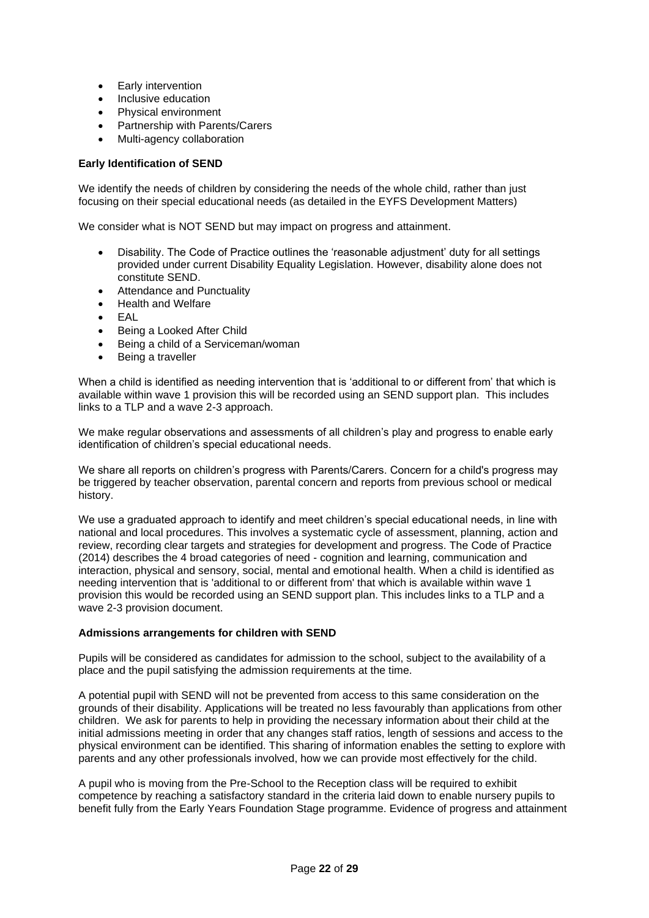- Early intervention
- Inclusive education
- Physical environment
- Partnership with Parents/Carers
- Multi-agency collaboration

# <span id="page-21-0"></span>**Early Identification of SEND**

We identify the needs of children by considering the needs of the whole child, rather than just focusing on their special educational needs (as detailed in the EYFS Development Matters)

We consider what is NOT SEND but may impact on progress and attainment.

- Disability. The Code of Practice outlines the 'reasonable adjustment' duty for all settings provided under current Disability Equality Legislation. However, disability alone does not constitute SEND.
- Attendance and Punctuality
- Health and Welfare
- EAL
- Being a Looked After Child
- Being a child of a Serviceman/woman
- Being a traveller

When a child is identified as needing intervention that is 'additional to or different from' that which is available within wave 1 provision this will be recorded using an SEND support plan. This includes links to a TLP and a wave 2-3 approach.

We make regular observations and assessments of all children's play and progress to enable early identification of children's special educational needs.

We share all reports on children's progress with Parents/Carers. Concern for a child's progress may be triggered by teacher observation, parental concern and reports from previous school or medical history.

We use a graduated approach to identify and meet children's special educational needs, in line with national and local procedures. This involves a systematic cycle of assessment, planning, action and review, recording clear targets and strategies for development and progress. The Code of Practice (2014) describes the 4 broad categories of need - cognition and learning, communication and interaction, physical and sensory, social, mental and emotional health. When a child is identified as needing intervention that is 'additional to or different from' that which is available within wave 1 provision this would be recorded using an SEND support plan. This includes links to a TLP and a wave 2-3 provision document.

### <span id="page-21-1"></span>**Admissions arrangements for children with SEND**

Pupils will be considered as candidates for admission to the school, subject to the availability of a place and the pupil satisfying the admission requirements at the time.

A potential pupil with SEND will not be prevented from access to this same consideration on the grounds of their disability. Applications will be treated no less favourably than applications from other children. We ask for parents to help in providing the necessary information about their child at the initial admissions meeting in order that any changes staff ratios, length of sessions and access to the physical environment can be identified. This sharing of information enables the setting to explore with parents and any other professionals involved, how we can provide most effectively for the child.

A pupil who is moving from the Pre-School to the Reception class will be required to exhibit competence by reaching a satisfactory standard in the criteria laid down to enable nursery pupils to benefit fully from the Early Years Foundation Stage programme. Evidence of progress and attainment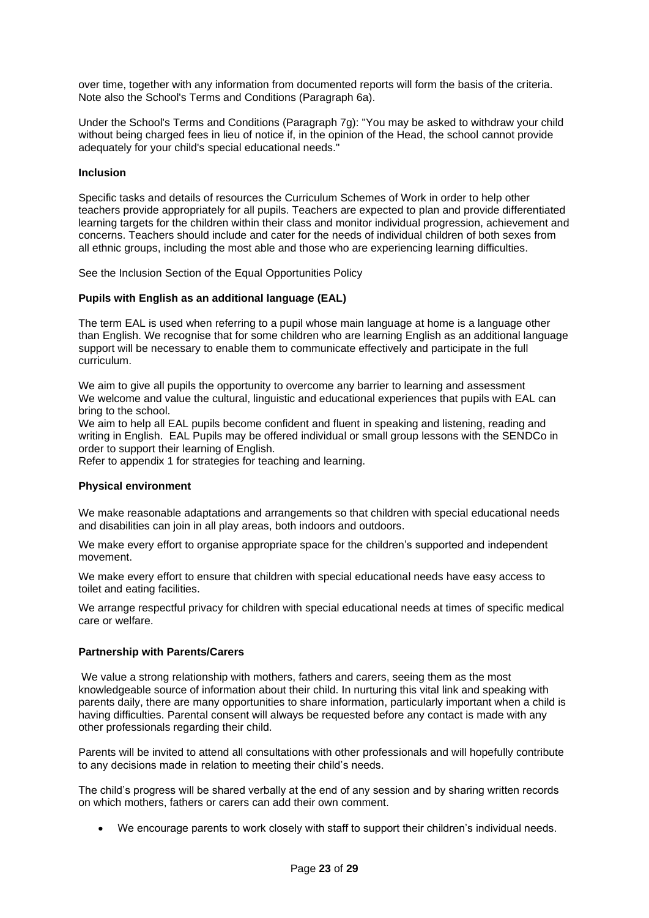over time, together with any information from documented reports will form the basis of the criteria. Note also the School's Terms and Conditions (Paragraph 6a).

Under the School's Terms and Conditions (Paragraph 7g): "You may be asked to withdraw your child without being charged fees in lieu of notice if, in the opinion of the Head, the school cannot provide adequately for your child's special educational needs."

# <span id="page-22-0"></span>**Inclusion**

Specific tasks and details of resources the Curriculum Schemes of Work in order to help other teachers provide appropriately for all pupils. Teachers are expected to plan and provide differentiated learning targets for the children within their class and monitor individual progression, achievement and concerns. Teachers should include and cater for the needs of individual children of both sexes from all ethnic groups, including the most able and those who are experiencing learning difficulties.

See the Inclusion Section of the Equal Opportunities Policy

### <span id="page-22-1"></span>**Pupils with English as an additional language (EAL)**

The term EAL is used when referring to a pupil whose main language at home is a language other than English. We recognise that for some children who are learning English as an additional language support will be necessary to enable them to communicate effectively and participate in the full curriculum.

We aim to give all pupils the opportunity to overcome any barrier to learning and assessment We welcome and value the cultural, linguistic and educational experiences that pupils with EAL can bring to the school.

We aim to help all EAL pupils become confident and fluent in speaking and listening, reading and writing in English. EAL Pupils may be offered individual or small group lessons with the SENDCo in order to support their learning of English.

Refer to appendix 1 for strategies for teaching and learning.

### <span id="page-22-2"></span>**Physical environment**

We make reasonable adaptations and arrangements so that children with special educational needs and disabilities can join in all play areas, both indoors and outdoors.

We make every effort to organise appropriate space for the children's supported and independent movement.

We make every effort to ensure that children with special educational needs have easy access to toilet and eating facilities.

We arrange respectful privacy for children with special educational needs at times of specific medical care or welfare.

### <span id="page-22-3"></span>**Partnership with Parents/Carers**

We value a strong relationship with mothers, fathers and carers, seeing them as the most knowledgeable source of information about their child. In nurturing this vital link and speaking with parents daily, there are many opportunities to share information, particularly important when a child is having difficulties. Parental consent will always be requested before any contact is made with any other professionals regarding their child.

Parents will be invited to attend all consultations with other professionals and will hopefully contribute to any decisions made in relation to meeting their child's needs.

The child's progress will be shared verbally at the end of any session and by sharing written records on which mothers, fathers or carers can add their own comment.

• We encourage parents to work closely with staff to support their children's individual needs.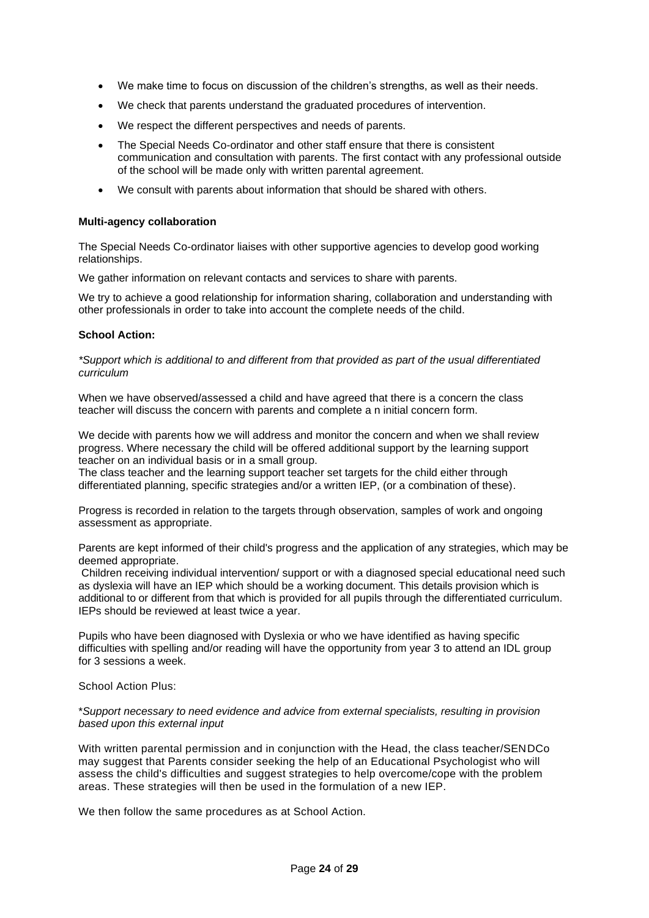- We make time to focus on discussion of the children's strengths, as well as their needs.
- We check that parents understand the graduated procedures of intervention.
- We respect the different perspectives and needs of parents.
- The Special Needs Co-ordinator and other staff ensure that there is consistent communication and consultation with parents. The first contact with any professional outside of the school will be made only with written parental agreement.
- We consult with parents about information that should be shared with others.

### <span id="page-23-0"></span>**Multi-agency collaboration**

The Special Needs Co-ordinator liaises with other supportive agencies to develop good working relationships.

We gather information on relevant contacts and services to share with parents.

We try to achieve a good relationship for information sharing, collaboration and understanding with other professionals in order to take into account the complete needs of the child.

# **School Action:**

*\*Support which is additional to and different from that provided as part of the usual differentiated curriculum*

When we have observed/assessed a child and have agreed that there is a concern the class teacher will discuss the concern with parents and complete a n initial concern form.

We decide with parents how we will address and monitor the concern and when we shall review progress. Where necessary the child will be offered additional support by the learning support teacher on an individual basis or in a small group.

The class teacher and the learning support teacher set targets for the child either through differentiated planning, specific strategies and/or a written IEP, (or a combination of these).

Progress is recorded in relation to the targets through observation, samples of work and ongoing assessment as appropriate.

Parents are kept informed of their child's progress and the application of any strategies, which may be deemed appropriate.

Children receiving individual intervention/ support or with a diagnosed special educational need such as dyslexia will have an IEP which should be a working document. This details provision which is additional to or different from that which is provided for all pupils through the differentiated curriculum. IEPs should be reviewed at least twice a year.

Pupils who have been diagnosed with Dyslexia or who we have identified as having specific difficulties with spelling and/or reading will have the opportunity from year 3 to attend an IDL group for 3 sessions a week.

School Action Plus:

\**Support necessary to need evidence and advice from external specialists, resulting in provision based upon this external input*

With written parental permission and in conjunction with the Head, the class teacher/SENDCo may suggest that Parents consider seeking the help of an Educational Psychologist who will assess the child's difficulties and suggest strategies to help overcome/cope with the problem areas. These strategies will then be used in the formulation of a new IEP.

We then follow the same procedures as at School Action.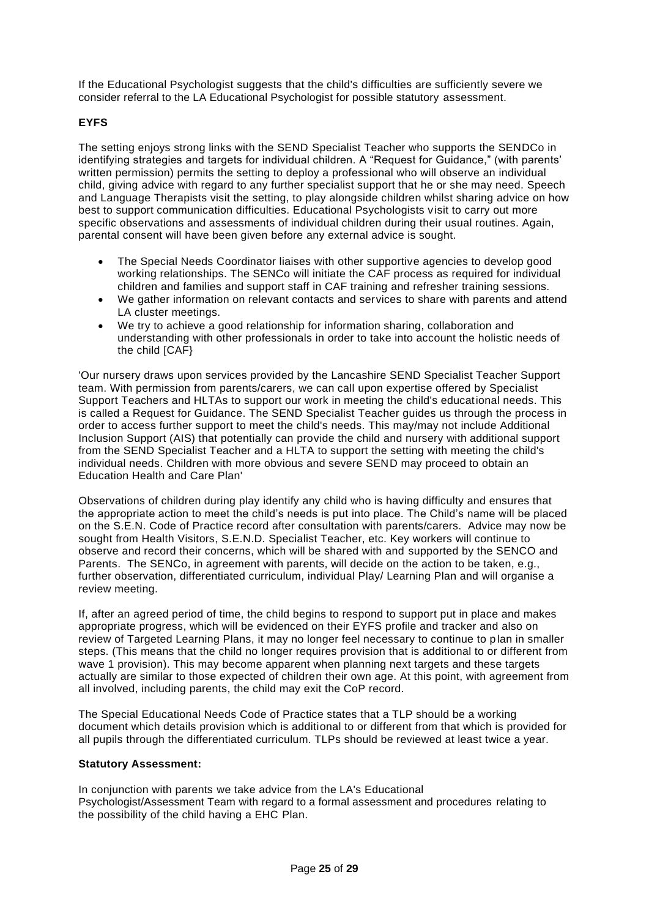If the Educational Psychologist suggests that the child's difficulties are sufficiently severe we consider referral to the LA Educational Psychologist for possible statutory assessment.

# <span id="page-24-0"></span>**EYFS**

The setting enjoys strong links with the SEND Specialist Teacher who supports the SENDCo in identifying strategies and targets for individual children. A "Request for Guidance," (with parents' written permission) permits the setting to deploy a professional who will observe an individual child, giving advice with regard to any further specialist support that he or she may need. Speech and Language Therapists visit the setting, to play alongside children whilst sharing advice on how best to support communication difficulties. Educational Psychologists visit to carry out more specific observations and assessments of individual children during their usual routines. Again, parental consent will have been given before any external advice is sought.

- The Special Needs Coordinator liaises with other supportive agencies to develop good working relationships. The SENCo will initiate the CAF process as required for individual children and families and support staff in CAF training and refresher training sessions.
- We gather information on relevant contacts and services to share with parents and attend LA cluster meetings.
- We try to achieve a good relationship for information sharing, collaboration and understanding with other professionals in order to take into account the holistic needs of the child [CAF}

'Our nursery draws upon services provided by the Lancashire SEND Specialist Teacher Support team. With permission from parents/carers, we can call upon expertise offered by Specialist Support Teachers and HLTAs to support our work in meeting the child's educational needs. This is called a Request for Guidance. The SEND Specialist Teacher guides us through the process in order to access further support to meet the child's needs. This may/may not include Additional Inclusion Support (AIS) that potentially can provide the child and nursery with additional support from the SEND Specialist Teacher and a HLTA to support the setting with meeting the child's individual needs. Children with more obvious and severe SEND may proceed to obtain an Education Health and Care Plan'

Observations of children during play identify any child who is having difficulty and ensures that the appropriate action to meet the child's needs is put into place. The Child's name will be placed on the S.E.N. Code of Practice record after consultation with parents/carers. Advice may now be sought from Health Visitors, S.E.N.D. Specialist Teacher, etc. Key workers will continue to observe and record their concerns, which will be shared with and supported by the SENCO and Parents. The SENCo, in agreement with parents, will decide on the action to be taken, e.g., further observation, differentiated curriculum, individual Play/ Learning Plan and will organise a review meeting.

If, after an agreed period of time, the child begins to respond to support put in place and makes appropriate progress, which will be evidenced on their EYFS profile and tracker and also on review of Targeted Learning Plans, it may no longer feel necessary to continue to plan in smaller steps. (This means that the child no longer requires provision that is additional to or different from wave 1 provision). This may become apparent when planning next targets and these targets actually are similar to those expected of children their own age. At this point, with agreement from all involved, including parents, the child may exit the CoP record.

The Special Educational Needs Code of Practice states that a TLP should be a working document which details provision which is additional to or different from that which is provided for all pupils through the differentiated curriculum. TLPs should be reviewed at least twice a year.

# <span id="page-24-1"></span>**Statutory Assessment:**

In conjunction with parents we take advice from the LA's Educational Psychologist/Assessment Team with regard to a formal assessment and procedures relating to the possibility of the child having a EHC Plan.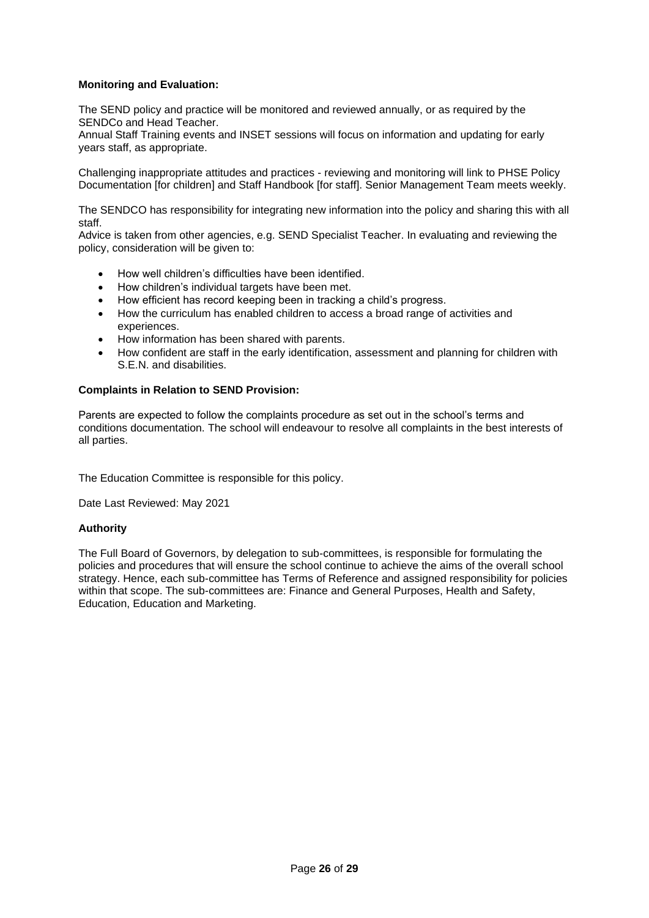# <span id="page-25-0"></span>**Monitoring and Evaluation:**

The SEND policy and practice will be monitored and reviewed annually, or as required by the SENDCo and Head Teacher.

Annual Staff Training events and INSET sessions will focus on information and updating for early years staff, as appropriate.

Challenging inappropriate attitudes and practices - reviewing and monitoring will link to PHSE Policy Documentation [for children] and Staff Handbook [for staff]. Senior Management Team meets weekly.

The SENDCO has responsibility for integrating new information into the policy and sharing this with all staff.

Advice is taken from other agencies, e.g. SEND Specialist Teacher. In evaluating and reviewing the policy, consideration will be given to:

- How well children's difficulties have been identified.
- How children's individual targets have been met.
- How efficient has record keeping been in tracking a child's progress.
- How the curriculum has enabled children to access a broad range of activities and experiences.
- How information has been shared with parents.
- How confident are staff in the early identification, assessment and planning for children with S.E.N. and disabilities.

# <span id="page-25-1"></span>**Complaints in Relation to SEND Provision:**

Parents are expected to follow the complaints procedure as set out in the school's terms and conditions documentation. The school will endeavour to resolve all complaints in the best interests of all parties.

The Education Committee is responsible for this policy.

Date Last Reviewed: May 2021

### **Authority**

The Full Board of Governors, by delegation to sub-committees, is responsible for formulating the policies and procedures that will ensure the school continue to achieve the aims of the overall school strategy. Hence, each sub-committee has Terms of Reference and assigned responsibility for policies within that scope. The sub-committees are: Finance and General Purposes, Health and Safety, Education, Education and Marketing.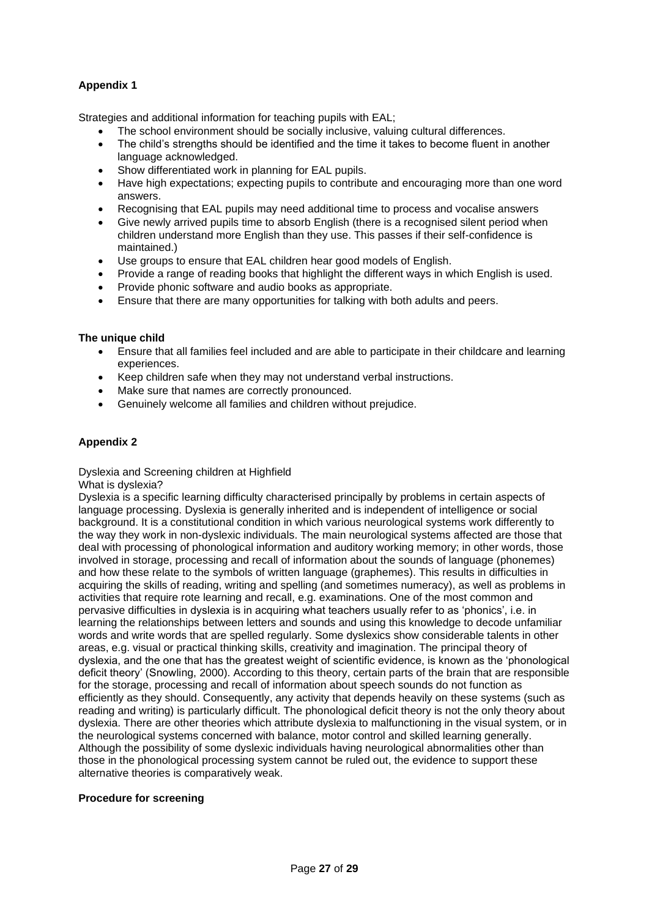# <span id="page-26-0"></span>**Appendix 1**

Strategies and additional information for teaching pupils with EAL;

- The school environment should be socially inclusive, valuing cultural differences.
- The child's strengths should be identified and the time it takes to become fluent in another language acknowledged.
- Show differentiated work in planning for EAL pupils.
- Have high expectations; expecting pupils to contribute and encouraging more than one word answers.
- Recognising that EAL pupils may need additional time to process and vocalise answers
- Give newly arrived pupils time to absorb English (there is a recognised silent period when children understand more English than they use. This passes if their self-confidence is maintained.)
- Use groups to ensure that EAL children hear good models of English.
- Provide a range of reading books that highlight the different ways in which English is used.
- Provide phonic software and audio books as appropriate.
- Ensure that there are many opportunities for talking with both adults and peers.

# **The unique child**

- Ensure that all families feel included and are able to participate in their childcare and learning experiences.
- Keep children safe when they may not understand verbal instructions.
- Make sure that names are correctly pronounced.
- Genuinely welcome all families and children without prejudice.

# <span id="page-26-1"></span>**Appendix 2**

Dyslexia and Screening children at Highfield

What is dyslexia?

Dyslexia is a specific learning difficulty characterised principally by problems in certain aspects of language processing. Dyslexia is generally inherited and is independent of intelligence or social background. It is a constitutional condition in which various neurological systems work differently to the way they work in non-dyslexic individuals. The main neurological systems affected are those that deal with processing of phonological information and auditory working memory; in other words, those involved in storage, processing and recall of information about the sounds of language (phonemes) and how these relate to the symbols of written language (graphemes). This results in difficulties in acquiring the skills of reading, writing and spelling (and sometimes numeracy), as well as problems in activities that require rote learning and recall, e.g. examinations. One of the most common and pervasive difficulties in dyslexia is in acquiring what teachers usually refer to as 'phonics', i.e. in learning the relationships between letters and sounds and using this knowledge to decode unfamiliar words and write words that are spelled regularly. Some dyslexics show considerable talents in other areas, e.g. visual or practical thinking skills, creativity and imagination. The principal theory of dyslexia, and the one that has the greatest weight of scientific evidence, is known as the 'phonological deficit theory' (Snowling, 2000). According to this theory, certain parts of the brain that are responsible for the storage, processing and recall of information about speech sounds do not function as efficiently as they should. Consequently, any activity that depends heavily on these systems (such as reading and writing) is particularly difficult. The phonological deficit theory is not the only theory about dyslexia. There are other theories which attribute dyslexia to malfunctioning in the visual system, or in the neurological systems concerned with balance, motor control and skilled learning generally. Although the possibility of some dyslexic individuals having neurological abnormalities other than those in the phonological processing system cannot be ruled out, the evidence to support these alternative theories is comparatively weak.

### **Procedure for screening**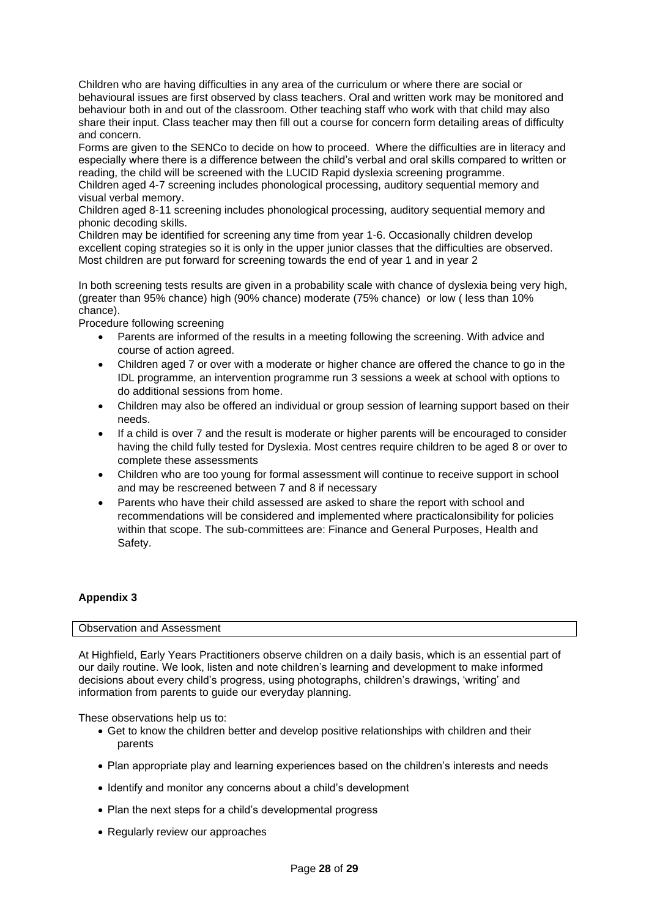Children who are having difficulties in any area of the curriculum or where there are social or behavioural issues are first observed by class teachers. Oral and written work may be monitored and behaviour both in and out of the classroom. Other teaching staff who work with that child may also share their input. Class teacher may then fill out a course for concern form detailing areas of difficulty and concern.

Forms are given to the SENCo to decide on how to proceed. Where the difficulties are in literacy and especially where there is a difference between the child's verbal and oral skills compared to written or reading, the child will be screened with the LUCID Rapid dyslexia screening programme.

Children aged 4-7 screening includes phonological processing, auditory sequential memory and visual verbal memory.

Children aged 8-11 screening includes phonological processing, auditory sequential memory and phonic decoding skills.

Children may be identified for screening any time from year 1-6. Occasionally children develop excellent coping strategies so it is only in the upper junior classes that the difficulties are observed. Most children are put forward for screening towards the end of year 1 and in year 2

In both screening tests results are given in a probability scale with chance of dyslexia being very high, (greater than 95% chance) high (90% chance) moderate (75% chance) or low ( less than 10% chance).

Procedure following screening

- Parents are informed of the results in a meeting following the screening. With advice and course of action agreed.
- Children aged 7 or over with a moderate or higher chance are offered the chance to go in the IDL programme, an intervention programme run 3 sessions a week at school with options to do additional sessions from home.
- Children may also be offered an individual or group session of learning support based on their needs.
- If a child is over 7 and the result is moderate or higher parents will be encouraged to consider having the child fully tested for Dyslexia. Most centres require children to be aged 8 or over to complete these assessments
- Children who are too young for formal assessment will continue to receive support in school and may be rescreened between 7 and 8 if necessary
- Parents who have their child assessed are asked to share the report with school and recommendations will be considered and implemented where practicalonsibility for policies within that scope. The sub-committees are: Finance and General Purposes, Health and Safety.

# <span id="page-27-0"></span>**Appendix 3**

### Observation and Assessment

At Highfield, Early Years Practitioners observe children on a daily basis, which is an essential part of our daily routine. We look, listen and note children's learning and development to make informed decisions about every child's progress, using photographs, children's drawings, 'writing' and information from parents to guide our everyday planning.

These observations help us to:

- Get to know the children better and develop positive relationships with children and their parents
- Plan appropriate play and learning experiences based on the children's interests and needs
- Identify and monitor any concerns about a child's development
- Plan the next steps for a child's developmental progress
- Regularly review our approaches